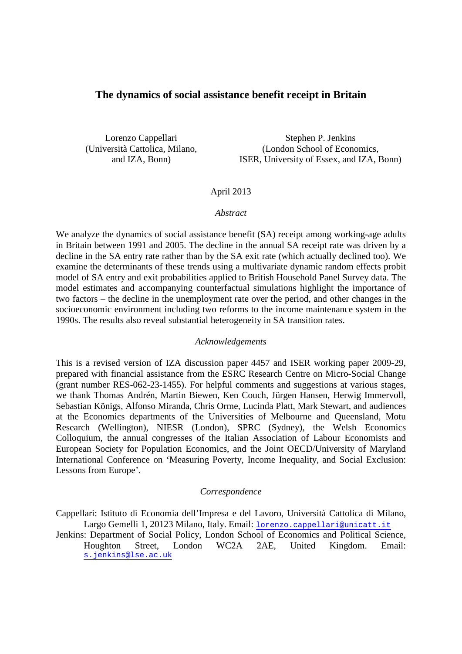## **The dynamics of social assistance benefit receipt in Britain**

(Università Cattolica, Milano, and IZA, Bonn)

Lorenzo Cappellari Stephen P. Jenkins (London School of Economics, ISER, University of Essex, and IZA, Bonn)

## April 2013

#### *Abstract*

We analyze the dynamics of social assistance benefit (SA) receipt among working-age adults in Britain between 1991 and 2005. The decline in the annual SA receipt rate was driven by a decline in the SA entry rate rather than by the SA exit rate (which actually declined too). We examine the determinants of these trends using a multivariate dynamic random effects probit model of SA entry and exit probabilities applied to British Household Panel Survey data. The model estimates and accompanying counterfactual simulations highlight the importance of two factors – the decline in the unemployment rate over the period, and other changes in the socioeconomic environment including two reforms to the income maintenance system in the 1990s. The results also reveal substantial heterogeneity in SA transition rates.

## *Acknowledgements*

This is a revised version of IZA discussion paper 4457 and ISER working paper 2009-29, prepared with financial assistance from the ESRC Research Centre on Micro-Social Change (grant number RES-062-23-1455). For helpful comments and suggestions at various stages, we thank Thomas Andrén, Martin Biewen, Ken Couch, Jürgen Hansen, Herwig Immervoll, Sebastian Königs, Alfonso Miranda, Chris Orme, Lucinda Platt, Mark Stewart, and audiences at the Economics departments of the Universities of Melbourne and Queensland, Motu Research (Wellington), NIESR (London), SPRC (Sydney), the Welsh Economics Colloquium, the annual congresses of the Italian Association of Labour Economists and European Society for Population Economics, and the Joint OECD/University of Maryland International Conference on 'Measuring Poverty, Income Inequality, and Social Exclusion: Lessons from Europe'.

## *Correspondence*

Cappellari: Istituto di Economia dell'Impresa e del Lavoro, Università Cattolica di Milano, Largo Gemelli 1, 20123 Milano, Italy. Email: [lorenzo.cappellari@unicatt.it](mailto:lorenzo.cappellari@unicatt.it)

Jenkins: Department of Social Policy, London School of Economics and Political Science, Houghton Street, London WC2A 2AE, United Kingdom. Email: [s.jenkins@lse.ac.uk](mailto:s.jenkins@lse.ac.uk)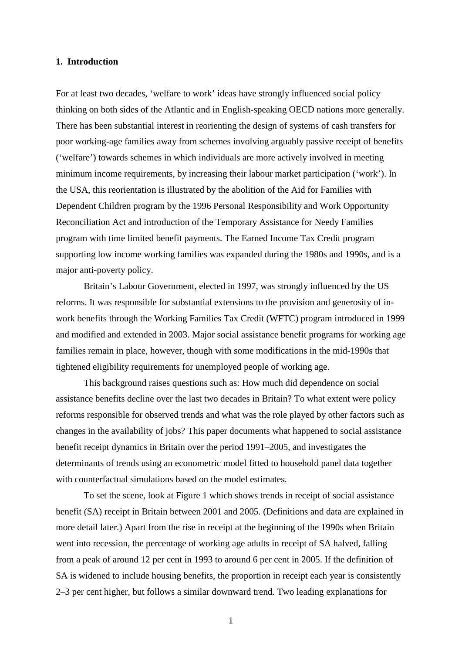## **1. Introduction**

For at least two decades, 'welfare to work' ideas have strongly influenced social policy thinking on both sides of the Atlantic and in English-speaking OECD nations more generally. There has been substantial interest in reorienting the design of systems of cash transfers for poor working-age families away from schemes involving arguably passive receipt of benefits ('welfare') towards schemes in which individuals are more actively involved in meeting minimum income requirements, by increasing their labour market participation ('work'). In the USA, this reorientation is illustrated by the abolition of the Aid for Families with Dependent Children program by the 1996 Personal Responsibility and Work Opportunity Reconciliation Act and introduction of the Temporary Assistance for Needy Families program with time limited benefit payments. The Earned Income Tax Credit program supporting low income working families was expanded during the 1980s and 1990s, and is a major anti-poverty policy.

Britain's Labour Government, elected in 1997, was strongly influenced by the US reforms. It was responsible for substantial extensions to the provision and generosity of inwork benefits through the Working Families Tax Credit (WFTC) program introduced in 1999 and modified and extended in 2003. Major social assistance benefit programs for working age families remain in place, however, though with some modifications in the mid-1990s that tightened eligibility requirements for unemployed people of working age.

This background raises questions such as: How much did dependence on social assistance benefits decline over the last two decades in Britain? To what extent were policy reforms responsible for observed trends and what was the role played by other factors such as changes in the availability of jobs? This paper documents what happened to social assistance benefit receipt dynamics in Britain over the period 1991–2005, and investigates the determinants of trends using an econometric model fitted to household panel data together with counterfactual simulations based on the model estimates.

To set the scene, look at Figure 1 which shows trends in receipt of social assistance benefit (SA) receipt in Britain between 2001 and 2005. (Definitions and data are explained in more detail later.) Apart from the rise in receipt at the beginning of the 1990s when Britain went into recession, the percentage of working age adults in receipt of SA halved, falling from a peak of around 12 per cent in 1993 to around 6 per cent in 2005. If the definition of SA is widened to include housing benefits, the proportion in receipt each year is consistently 2–3 per cent higher, but follows a similar downward trend. Two leading explanations for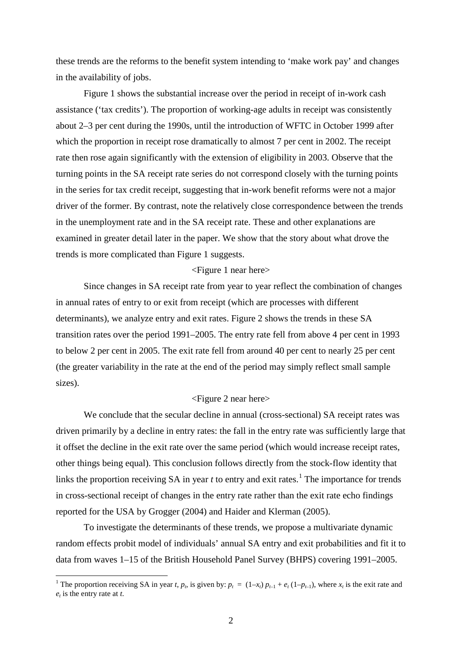these trends are the reforms to the benefit system intending to 'make work pay' and changes in the availability of jobs.

Figure 1 shows the substantial increase over the period in receipt of in-work cash assistance ('tax credits'). The proportion of working-age adults in receipt was consistently about 2–3 per cent during the 1990s, until the introduction of WFTC in October 1999 after which the proportion in receipt rose dramatically to almost 7 per cent in 2002. The receipt rate then rose again significantly with the extension of eligibility in 2003. Observe that the turning points in the SA receipt rate series do not correspond closely with the turning points in the series for tax credit receipt, suggesting that in-work benefit reforms were not a major driver of the former. By contrast, note the relatively close correspondence between the trends in the unemployment rate and in the SA receipt rate. These and other explanations are examined in greater detail later in the paper. We show that the story about what drove the trends is more complicated than Figure 1 suggests.

## <Figure 1 near here>

Since changes in SA receipt rate from year to year reflect the combination of changes in annual rates of entry to or exit from receipt (which are processes with different determinants), we analyze entry and exit rates. Figure 2 shows the trends in these SA transition rates over the period 1991–2005. The entry rate fell from above 4 per cent in 1993 to below 2 per cent in 2005. The exit rate fell from around 40 per cent to nearly 25 per cent (the greater variability in the rate at the end of the period may simply reflect small sample sizes).

## <Figure 2 near here>

We conclude that the secular decline in annual (cross-sectional) SA receipt rates was driven primarily by a decline in entry rates: the fall in the entry rate was sufficiently large that it offset the decline in the exit rate over the same period (which would increase receipt rates, other things being equal). This conclusion follows directly from the stock-flow identity that links the proportion receiving SA in year *t* to entry and exit rates. [1](#page-2-0) The importance for trends in cross-sectional receipt of changes in the entry rate rather than the exit rate echo findings reported for the USA by Grogger (2004) and Haider and Klerman (2005).

To investigate the determinants of these trends, we propose a multivariate dynamic random effects probit model of individuals' annual SA entry and exit probabilities and fit it to data from waves 1–15 of the British Household Panel Survey (BHPS) covering 1991–2005.

<span id="page-2-0"></span><sup>&</sup>lt;sup>1</sup> The proportion receiving SA in year *t*, *p<sub>t</sub>*, is given by:  $p_t = (1-x_t) p_{t-1} + e_t (1-p_{t-1})$ , where  $x_t$  is the exit rate and *et* is the entry rate at *t*.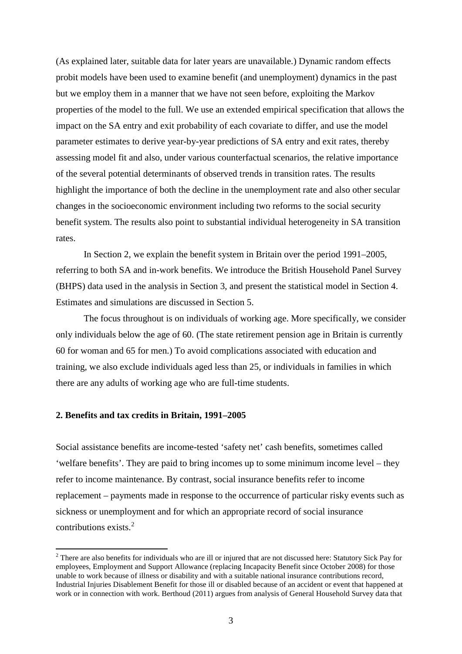(As explained later, suitable data for later years are unavailable.) Dynamic random effects probit models have been used to examine benefit (and unemployment) dynamics in the past but we employ them in a manner that we have not seen before, exploiting the Markov properties of the model to the full. We use an extended empirical specification that allows the impact on the SA entry and exit probability of each covariate to differ, and use the model parameter estimates to derive year-by-year predictions of SA entry and exit rates, thereby assessing model fit and also, under various counterfactual scenarios, the relative importance of the several potential determinants of observed trends in transition rates. The results highlight the importance of both the decline in the unemployment rate and also other secular changes in the socioeconomic environment including two reforms to the social security benefit system. The results also point to substantial individual heterogeneity in SA transition rates.

In Section 2, we explain the benefit system in Britain over the period 1991–2005, referring to both SA and in-work benefits. We introduce the British Household Panel Survey (BHPS) data used in the analysis in Section 3, and present the statistical model in Section 4. Estimates and simulations are discussed in Section 5.

The focus throughout is on individuals of working age. More specifically, we consider only individuals below the age of 60. (The state retirement pension age in Britain is currently 60 for woman and 65 for men.) To avoid complications associated with education and training, we also exclude individuals aged less than 25, or individuals in families in which there are any adults of working age who are full-time students.

## **2. Benefits and tax credits in Britain, 1991–2005**

Social assistance benefits are income-tested 'safety net' cash benefits, sometimes called 'welfare benefits'. They are paid to bring incomes up to some minimum income level – they refer to income maintenance. By contrast, social insurance benefits refer to income replacement – payments made in response to the occurrence of particular risky events such as sickness or unemployment and for which an appropriate record of social insurance contributions exists. $2$ 

<span id="page-3-0"></span><sup>&</sup>lt;sup>2</sup> There are also benefits for individuals who are ill or injured that are not discussed here: Statutory Sick Pay for employees, Employment and Support Allowance (replacing Incapacity Benefit since October 2008) for those unable to work because of illness or disability and with a suitable national insurance contributions record, Industrial Injuries Disablement Benefit for those ill or disabled because of an accident or event that happened at work or in connection with work. Berthoud (2011) argues from analysis of General Household Survey data that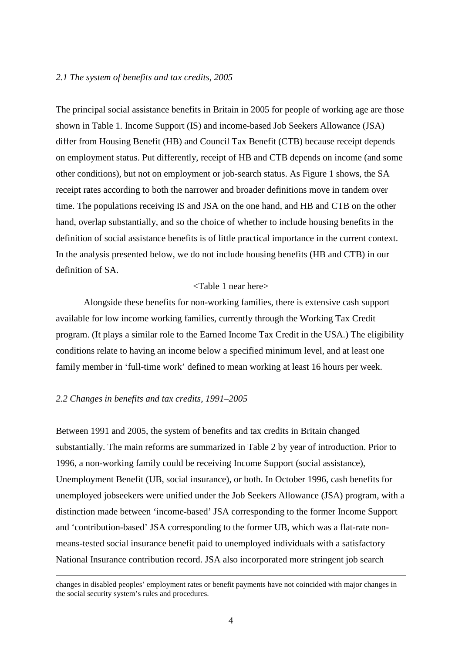#### *2.1 The system of benefits and tax credits, 2005*

The principal social assistance benefits in Britain in 2005 for people of working age are those shown in Table 1. Income Support (IS) and income-based Job Seekers Allowance (JSA) differ from Housing Benefit (HB) and Council Tax Benefit (CTB) because receipt depends on employment status. Put differently, receipt of HB and CTB depends on income (and some other conditions), but not on employment or job-search status. As Figure 1 shows, the SA receipt rates according to both the narrower and broader definitions move in tandem over time. The populations receiving IS and JSA on the one hand, and HB and CTB on the other hand, overlap substantially, and so the choice of whether to include housing benefits in the definition of social assistance benefits is of little practical importance in the current context. In the analysis presented below, we do not include housing benefits (HB and CTB) in our definition of SA.

## <Table 1 near here>

Alongside these benefits for non-working families, there is extensive cash support available for low income working families, currently through the Working Tax Credit program. (It plays a similar role to the Earned Income Tax Credit in the USA.) The eligibility conditions relate to having an income below a specified minimum level, and at least one family member in 'full-time work' defined to mean working at least 16 hours per week.

#### *2.2 Changes in benefits and tax credits, 1991–2005*

-

Between 1991 and 2005, the system of benefits and tax credits in Britain changed substantially. The main reforms are summarized in Table 2 by year of introduction. Prior to 1996, a non-working family could be receiving Income Support (social assistance), Unemployment Benefit (UB, social insurance), or both. In October 1996, cash benefits for unemployed jobseekers were unified under the Job Seekers Allowance (JSA) program, with a distinction made between 'income-based' JSA corresponding to the former Income Support and 'contribution-based' JSA corresponding to the former UB, which was a flat-rate nonmeans-tested social insurance benefit paid to unemployed individuals with a satisfactory National Insurance contribution record. JSA also incorporated more stringent job search

changes in disabled peoples' employment rates or benefit payments have not coincided with major changes in the social security system's rules and procedures.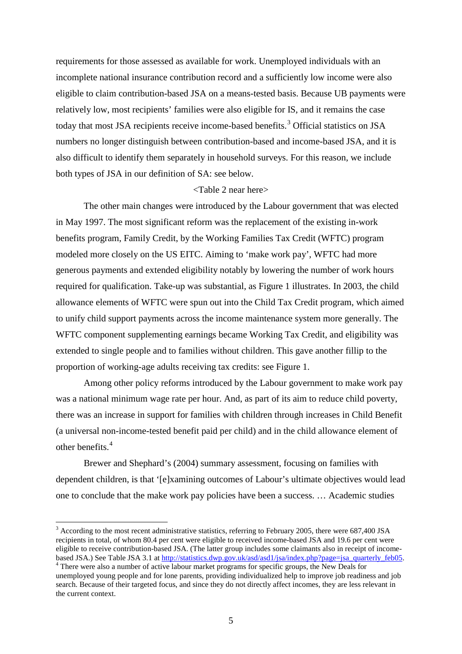requirements for those assessed as available for work. Unemployed individuals with an incomplete national insurance contribution record and a sufficiently low income were also eligible to claim contribution-based JSA on a means-tested basis. Because UB payments were relatively low, most recipients' families were also eligible for IS, and it remains the case today that most JSA recipients receive income-based benefits.<sup>[3](#page-5-0)</sup> Official statistics on JSA numbers no longer distinguish between contribution-based and income-based JSA, and it is also difficult to identify them separately in household surveys. For this reason, we include both types of JSA in our definition of SA: see below.

#### <Table 2 near here>

The other main changes were introduced by the Labour government that was elected in May 1997. The most significant reform was the replacement of the existing in-work benefits program, Family Credit, by the Working Families Tax Credit (WFTC) program modeled more closely on the US EITC. Aiming to 'make work pay', WFTC had more generous payments and extended eligibility notably by lowering the number of work hours required for qualification. Take-up was substantial, as Figure 1 illustrates. In 2003, the child allowance elements of WFTC were spun out into the Child Tax Credit program, which aimed to unify child support payments across the income maintenance system more generally. The WFTC component supplementing earnings became Working Tax Credit, and eligibility was extended to single people and to families without children. This gave another fillip to the proportion of working-age adults receiving tax credits: see Figure 1.

Among other policy reforms introduced by the Labour government to make work pay was a national minimum wage rate per hour. And, as part of its aim to reduce child poverty, there was an increase in support for families with children through increases in Child Benefit (a universal non-income-tested benefit paid per child) and in the child allowance element of other benefits.[4](#page-5-1)

Brewer and Shephard's (2004) summary assessment, focusing on families with dependent children, is that '[e]xamining outcomes of Labour's ultimate objectives would lead one to conclude that the make work pay policies have been a success. … Academic studies

<span id="page-5-0"></span><sup>&</sup>lt;sup>3</sup> According to the most recent administrative statistics, referring to February 2005, there were 687,400 JSA recipients in total, of whom 80.4 per cent were eligible to received income-based JSA and 19.6 per cent were eligible to receive contribution-based JSA. (The latter group includes some claimants also in receipt of income-<br>based JSA.) See Table JSA 3.1 at http://statistics.dwp.gov.uk/asd/asd1/jsa/index.php?page=jsa\_quarterly\_feb05

<span id="page-5-1"></span> $\beta$ <sup>4</sup> There were also a number of active labour market programs for specific groups, the New Deals for unemployed young people and for lone parents, providing individualized help to improve job readiness and job search. Because of their targeted focus, and since they do not directly affect incomes, they are less relevant in the current context.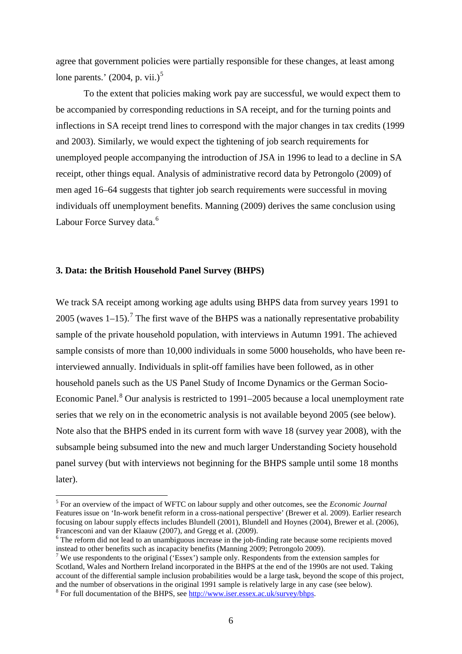agree that government policies were partially responsible for these changes, at least among lone parents.'  $(2004, p. vii.)^5$  $(2004, p. vii.)^5$ 

To the extent that policies making work pay are successful, we would expect them to be accompanied by corresponding reductions in SA receipt, and for the turning points and inflections in SA receipt trend lines to correspond with the major changes in tax credits (1999 and 2003). Similarly, we would expect the tightening of job search requirements for unemployed people accompanying the introduction of JSA in 1996 to lead to a decline in SA receipt, other things equal. Analysis of administrative record data by Petrongolo (2009) of men aged 16–64 suggests that tighter job search requirements were successful in moving individuals off unemployment benefits. Manning (2009) derives the same conclusion using Labour Force Survey data.<sup>[6](#page-6-1)</sup>

### **3. Data: the British Household Panel Survey (BHPS)**

We track SA receipt among working age adults using BHPS data from survey years 1991 to 2005 (waves  $1-15$ ).<sup>[7](#page-6-2)</sup> The first wave of the BHPS was a nationally representative probability sample of the private household population, with interviews in Autumn 1991. The achieved sample consists of more than 10,000 individuals in some 5000 households, who have been reinterviewed annually. Individuals in split-off families have been followed, as in other household panels such as the US Panel Study of Income Dynamics or the German Socio-Economic Panel.<sup>[8](#page-6-3)</sup> Our analysis is restricted to 1991–2005 because a local unemployment rate series that we rely on in the econometric analysis is not available beyond 2005 (see below). Note also that the BHPS ended in its current form with wave 18 (survey year 2008), with the subsample being subsumed into the new and much larger Understanding Society household panel survey (but with interviews not beginning for the BHPS sample until some 18 months later).

<span id="page-6-0"></span> <sup>5</sup> For an overview of the impact of WFTC on labour supply and other outcomes, see the *Economic Journal* Features issue on 'In-work benefit reform in a cross-national perspective' (Brewer et al. 2009). Earlier research focusing on labour supply effects includes Blundell (2001), Blundell and Hoynes (2004), Brewer et al. (2006),

<span id="page-6-1"></span> $\degree$  The reform did not lead to an unambiguous increase in the job-finding rate because some recipients moved instead to other benefits such as incapacity benefits (Manning 2009; Petrongolo 2009).

<span id="page-6-3"></span><span id="page-6-2"></span><sup>&</sup>lt;sup>7</sup> We use respondents to the original ('Essex') sample only. Respondents from the extension samples for Scotland, Wales and Northern Ireland incorporated in the BHPS at the end of the 1990s are not used. Taking account of the differential sample inclusion probabilities would be a large task, beyond the scope of this project, and the number of observations in the original 1991 sample is relatively large in any case (see below). <sup>8</sup> For full documentation of the BHPS, see [http://www.iser.essex.ac.uk/survey/bhps.](http://www.iser.essex.ac.uk/survey/bhps)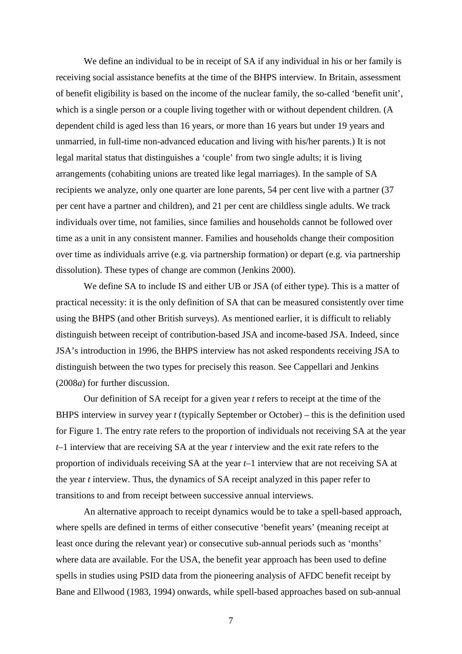We define an individual to be in receipt of SA if any individual in his or her family is receiving social assistance benefits at the time of the BHPS interview. In Britain, assessment of benefit eligibility is based on the income of the nuclear family, the so-called 'benefit unit', which is a single person or a couple living together with or without dependent children. (A dependent child is aged less than 16 years, or more than 16 years but under 19 years and unmarried, in full-time non-advanced education and living with his/her parents.) It is not legal marital status that distinguishes a 'couple' from two single adults; it is living arrangements (cohabiting unions are treated like legal marriages). In the sample of SA recipients we analyze, only one quarter are lone parents, 54 per cent live with a partner (37 per cent have a partner and children), and 21 per cent are childless single adults. We track individuals over time, not families, since families and households cannot be followed over time as a unit in any consistent manner. Families and households change their composition over time as individuals arrive (e.g. via partnership formation) or depart (e.g. via partnership dissolution). These types of change are common (Jenkins 2000).

We define SA to include IS and either UB or JSA (of either type). This is a matter of practical necessity: it is the only definition of SA that can be measured consistently over time using the BHPS (and other British surveys). As mentioned earlier, it is difficult to reliably distinguish between receipt of contribution-based JSA and income-based JSA. Indeed, since JSA's introduction in 1996, the BHPS interview has not asked respondents receiving JSA to distinguish between the two types for precisely this reason. See Cappellari and Jenkins (2008*a*) for further discussion.

Our definition of SA receipt for a given year *t* refers to receipt at the time of the BHPS interview in survey year *t* (typically September or October) – this is the definition used for Figure 1. The entry rate refers to the proportion of individuals not receiving SA at the year *t*–1 interview that are receiving SA at the year *t* interview and the exit rate refers to the proportion of individuals receiving SA at the year *t*–1 interview that are not receiving SA at the year *t* interview. Thus, the dynamics of SA receipt analyzed in this paper refer to transitions to and from receipt between successive annual interviews.

An alternative approach to receipt dynamics would be to take a spell-based approach, where spells are defined in terms of either consecutive 'benefit years' (meaning receipt at least once during the relevant year) or consecutive sub-annual periods such as 'months' where data are available. For the USA, the benefit year approach has been used to define spells in studies using PSID data from the pioneering analysis of AFDC benefit receipt by Bane and Ellwood (1983, 1994) onwards, while spell-based approaches based on sub-annual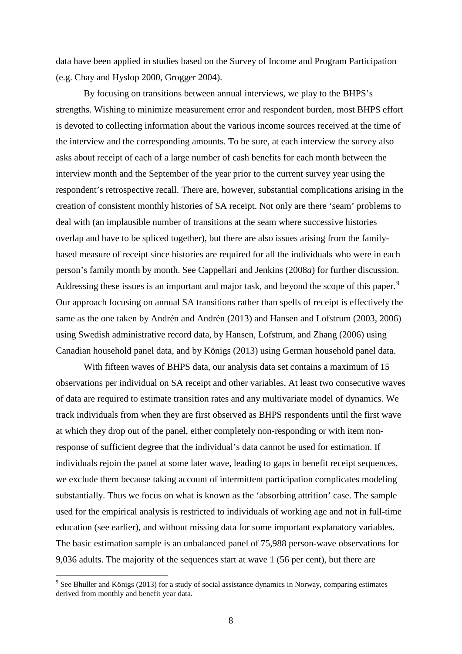data have been applied in studies based on the Survey of Income and Program Participation (e.g. Chay and Hyslop 2000, Grogger 2004).

By focusing on transitions between annual interviews, we play to the BHPS's strengths. Wishing to minimize measurement error and respondent burden, most BHPS effort is devoted to collecting information about the various income sources received at the time of the interview and the corresponding amounts. To be sure, at each interview the survey also asks about receipt of each of a large number of cash benefits for each month between the interview month and the September of the year prior to the current survey year using the respondent's retrospective recall. There are, however, substantial complications arising in the creation of consistent monthly histories of SA receipt. Not only are there 'seam' problems to deal with (an implausible number of transitions at the seam where successive histories overlap and have to be spliced together), but there are also issues arising from the familybased measure of receipt since histories are required for all the individuals who were in each person's family month by month. See Cappellari and Jenkins (2008*a*) for further discussion. Addressing these issues is an important and major task, and beyond the scope of this paper.<sup>[9](#page-8-0)</sup> Our approach focusing on annual SA transitions rather than spells of receipt is effectively the same as the one taken by Andrén and Andrén (2013) and Hansen and Lofstrum (2003, 2006) using Swedish administrative record data, by Hansen, Lofstrum, and Zhang (2006) using Canadian household panel data, and by Königs (2013) using German household panel data.

With fifteen waves of BHPS data, our analysis data set contains a maximum of 15 observations per individual on SA receipt and other variables. At least two consecutive waves of data are required to estimate transition rates and any multivariate model of dynamics. We track individuals from when they are first observed as BHPS respondents until the first wave at which they drop out of the panel, either completely non-responding or with item nonresponse of sufficient degree that the individual's data cannot be used for estimation. If individuals rejoin the panel at some later wave, leading to gaps in benefit receipt sequences, we exclude them because taking account of intermittent participation complicates modeling substantially. Thus we focus on what is known as the 'absorbing attrition' case. The sample used for the empirical analysis is restricted to individuals of working age and not in full-time education (see earlier), and without missing data for some important explanatory variables. The basic estimation sample is an unbalanced panel of 75,988 person-wave observations for 9,036 adults. The majority of the sequences start at wave 1 (56 per cent), but there are

<span id="page-8-0"></span> $9^9$  See Bhuller and Königs (2013) for a study of social assistance dynamics in Norway, comparing estimates derived from monthly and benefit year data.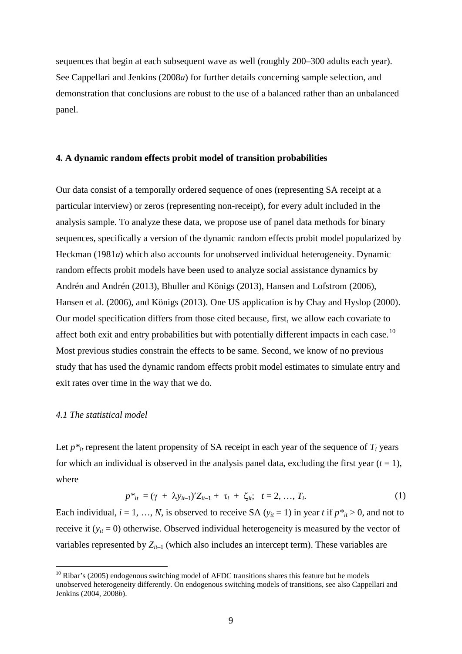sequences that begin at each subsequent wave as well (roughly 200–300 adults each year). See Cappellari and Jenkins (2008*a*) for further details concerning sample selection, and demonstration that conclusions are robust to the use of a balanced rather than an unbalanced panel.

## **4. A dynamic random effects probit model of transition probabilities**

Our data consist of a temporally ordered sequence of ones (representing SA receipt at a particular interview) or zeros (representing non-receipt), for every adult included in the analysis sample. To analyze these data, we propose use of panel data methods for binary sequences, specifically a version of the dynamic random effects probit model popularized by Heckman (1981*a*) which also accounts for unobserved individual heterogeneity. Dynamic random effects probit models have been used to analyze social assistance dynamics by Andrén and Andrén (2013), Bhuller and Königs (2013), Hansen and Lofstrom (2006), Hansen et al. (2006), and Königs (2013). One US application is by Chay and Hyslop (2000). Our model specification differs from those cited because, first, we allow each covariate to affect both exit and entry probabilities but with potentially different impacts in each case.<sup>[10](#page-9-0)</sup> Most previous studies constrain the effects to be same. Second, we know of no previous study that has used the dynamic random effects probit model estimates to simulate entry and exit rates over time in the way that we do.

#### *4.1 The statistical model*

Let  $p *_{it}$  represent the latent propensity of SA receipt in each year of the sequence of  $T_i$  years for which an individual is observed in the analysis panel data, excluding the first year  $(t = 1)$ , where

$$
p^*_{it} = (\gamma + \lambda y_{it-1})' Z_{it-1} + \tau_i + \zeta_{it}; \quad t = 2, ..., T_i.
$$
 (1)

Each individual,  $i = 1, ..., N$ , is observed to receive SA ( $y_{it} = 1$ ) in year *t* if  $p^*_{it} > 0$ , and not to receive it  $(y_{it} = 0)$  otherwise. Observed individual heterogeneity is measured by the vector of variables represented by  $Z_{it-1}$  (which also includes an intercept term). These variables are

<span id="page-9-0"></span> $10$  Ribar's (2005) endogenous switching model of AFDC transitions shares this feature but he models unobserved heterogeneity differently. On endogenous switching models of transitions, see also Cappellari and Jenkins (2004, 2008*b*).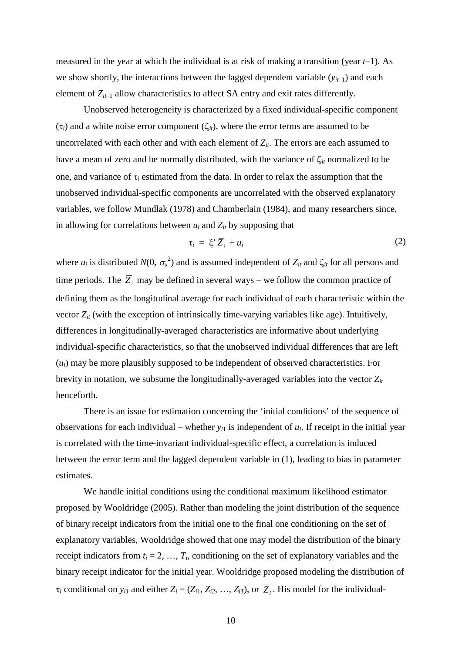measured in the year at which the individual is at risk of making a transition (year *t*–1). As we show shortly, the interactions between the lagged dependent variable  $(y_{it-1})$  and each element of *Zit*–1 allow characteristics to affect SA entry and exit rates differently.

Unobserved heterogeneity is characterized by a fixed individual-specific component  $(\tau_i)$  and a white noise error component  $(\zeta_i)$ , where the error terms are assumed to be uncorrelated with each other and with each element of  $Z_{it}$ . The errors are each assumed to have a mean of zero and be normally distributed, with the variance of ζ*it* normalized to be one, and variance of  $\tau_i$  estimated from the data. In order to relax the assumption that the unobserved individual-specific components are uncorrelated with the observed explanatory variables, we follow Mundlak (1978) and Chamberlain (1984), and many researchers since, in allowing for correlations between *ui* and *Zit* by supposing that

$$
\tau_i = \xi' \overline{Z}_i + u_i \tag{2}
$$

where  $u_i$  is distributed  $N(0, \sigma_u^2)$  and is assumed independent of  $Z_{it}$  and  $\zeta_{it}$  for all persons and time periods. The  $\overline{Z}_i$  may be defined in several ways – we follow the common practice of defining them as the longitudinal average for each individual of each characteristic within the vector *Zit* (with the exception of intrinsically time-varying variables like age). Intuitively, differences in longitudinally-averaged characteristics are informative about underlying individual-specific characteristics, so that the unobserved individual differences that are left (*ui*) may be more plausibly supposed to be independent of observed characteristics. For brevity in notation, we subsume the longitudinally-averaged variables into the vector  $Z_{it}$ henceforth.

There is an issue for estimation concerning the 'initial conditions' of the sequence of observations for each individual – whether  $y_{i1}$  is independent of  $u_i$ . If receipt in the initial year is correlated with the time-invariant individual-specific effect, a correlation is induced between the error term and the lagged dependent variable in (1), leading to bias in parameter estimates.

We handle initial conditions using the conditional maximum likelihood estimator proposed by Wooldridge (2005). Rather than modeling the joint distribution of the sequence of binary receipt indicators from the initial one to the final one conditioning on the set of explanatory variables, Wooldridge showed that one may model the distribution of the binary receipt indicators from  $t_i = 2, \ldots, T_i$ , conditioning on the set of explanatory variables and the binary receipt indicator for the initial year. Wooldridge proposed modeling the distribution of  $\tau_i$  conditional on  $y_{i1}$  and either  $Z_i = (Z_{i1}, Z_{i2}, ..., Z_{iT})$ , or  $\overline{Z}_i$ . His model for the individual-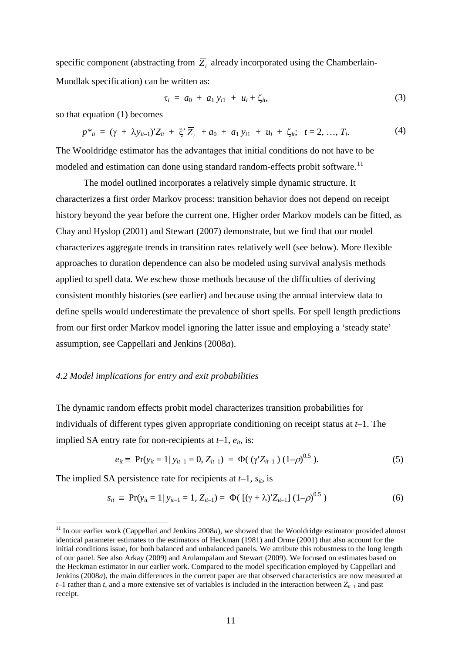specific component (abstracting from  $\overline{Z}_i$  already incorporated using the Chamberlain-Mundlak specification) can be written as:

$$
\tau_i = a_0 + a_1 y_{i1} + u_i + \zeta_{it}, \tag{3}
$$

so that equation (1) becomes

$$
p^*_{it} = (\gamma + \lambda y_{it-1})' Z_{it} + \xi' \overline{Z}_i + a_0 + a_1 y_{i1} + u_i + \zeta_{it}; \quad t = 2, ..., T_i.
$$
 (4)

The Wooldridge estimator has the advantages that initial conditions do not have to be modeled and estimation can done using standard random-effects probit software.<sup>[11](#page-11-0)</sup>

The model outlined incorporates a relatively simple dynamic structure. It characterizes a first order Markov process: transition behavior does not depend on receipt history beyond the year before the current one. Higher order Markov models can be fitted, as Chay and Hyslop (2001) and Stewart (2007) demonstrate, but we find that our model characterizes aggregate trends in transition rates relatively well (see below). More flexible approaches to duration dependence can also be modeled using survival analysis methods applied to spell data. We eschew those methods because of the difficulties of deriving consistent monthly histories (see earlier) and because using the annual interview data to define spells would underestimate the prevalence of short spells. For spell length predictions from our first order Markov model ignoring the latter issue and employing a 'steady state' assumption, see Cappellari and Jenkins (2008*a*).

#### *4.2 Model implications for entry and exit probabilities*

The dynamic random effects probit model characterizes transition probabilities for individuals of different types given appropriate conditioning on receipt status at *t*–1. The implied SA entry rate for non-recipients at  $t-1$ ,  $e_{it}$ , is:

$$
e_{it} = \Pr(y_{it} = 1 | y_{it-1} = 0, Z_{it-1}) = \Phi((\gamma' Z_{it-1}) (1 - \rho)^{0.5}). \tag{5}
$$

The implied SA persistence rate for recipients at  $t-1$ ,  $s_{it}$ , is

$$
s_{it} = \Pr(y_{it} = 1 | y_{it-1} = 1, Z_{it-1}) = \Phi(\left[ (\gamma + \lambda)' Z_{it-1} \right] (1 - \rho)^{0.5}) \tag{6}
$$

<span id="page-11-0"></span><sup>&</sup>lt;sup>11</sup> In our earlier work (Cappellari and Jenkins 2008*a*), we showed that the Wooldridge estimator provided almost identical parameter estimates to the estimators of Heckman (1981) and Orme (2001) that also account for the initial conditions issue, for both balanced and unbalanced panels. We attribute this robustness to the long length of our panel. See also Arkay (2009) and Arulampalam and Stewart (2009). We focused on estimates based on the Heckman estimator in our earlier work. Compared to the model specification employed by Cappellari and Jenkins (2008*a*), the main differences in the current paper are that observed characteristics are now measured at  $t-1$  rather than *t*, and a more extensive set of variables is included in the interaction between  $Z_{it-1}$  and past receipt.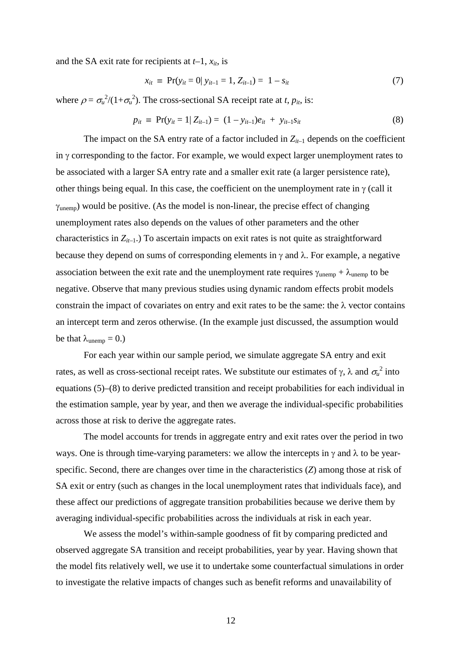and the SA exit rate for recipients at  $t-1$ ,  $x_{it}$ , is

$$
x_{it} = \Pr(y_{it} = 0 | y_{it-1} = 1, Z_{it-1}) = 1 - s_{it} \tag{7}
$$

where  $\rho = \sigma_u^2/(1+\sigma_u^2)$ . The cross-sectional SA receipt rate at *t*,  $p_{it}$ , is:

$$
p_{it} = \Pr(y_{it} = 1 | Z_{it-1}) = (1 - y_{it-1})e_{it} + y_{it-1} s_{it}
$$
(8)

The impact on the SA entry rate of a factor included in  $Z_{it-1}$  depends on the coefficient in γ corresponding to the factor. For example, we would expect larger unemployment rates to be associated with a larger SA entry rate and a smaller exit rate (a larger persistence rate), other things being equal. In this case, the coefficient on the unemployment rate in  $\gamma$  (call it  $\gamma_{\text{unemp}}$ ) would be positive. (As the model is non-linear, the precise effect of changing unemployment rates also depends on the values of other parameters and the other characteristics in *Zit*–1.) To ascertain impacts on exit rates is not quite as straightforward because they depend on sums of corresponding elements in  $\gamma$  and  $\lambda$ . For example, a negative association between the exit rate and the unemployment rate requires  $\gamma_{\text{unemp}} + \lambda_{\text{unemp}}$  to be negative. Observe that many previous studies using dynamic random effects probit models constrain the impact of covariates on entry and exit rates to be the same: the  $\lambda$  vector contains an intercept term and zeros otherwise. (In the example just discussed, the assumption would be that  $\lambda_{\text{unemp}} = 0$ .)

For each year within our sample period, we simulate aggregate SA entry and exit rates, as well as cross-sectional receipt rates. We substitute our estimates of γ, λ and  $\sigma_u^2$  into equations (5)–(8) to derive predicted transition and receipt probabilities for each individual in the estimation sample, year by year, and then we average the individual-specific probabilities across those at risk to derive the aggregate rates.

The model accounts for trends in aggregate entry and exit rates over the period in two ways. One is through time-varying parameters: we allow the intercepts in  $\gamma$  and  $\lambda$  to be yearspecific. Second, there are changes over time in the characteristics (*Z*) among those at risk of SA exit or entry (such as changes in the local unemployment rates that individuals face), and these affect our predictions of aggregate transition probabilities because we derive them by averaging individual-specific probabilities across the individuals at risk in each year.

We assess the model's within-sample goodness of fit by comparing predicted and observed aggregate SA transition and receipt probabilities, year by year. Having shown that the model fits relatively well, we use it to undertake some counterfactual simulations in order to investigate the relative impacts of changes such as benefit reforms and unavailability of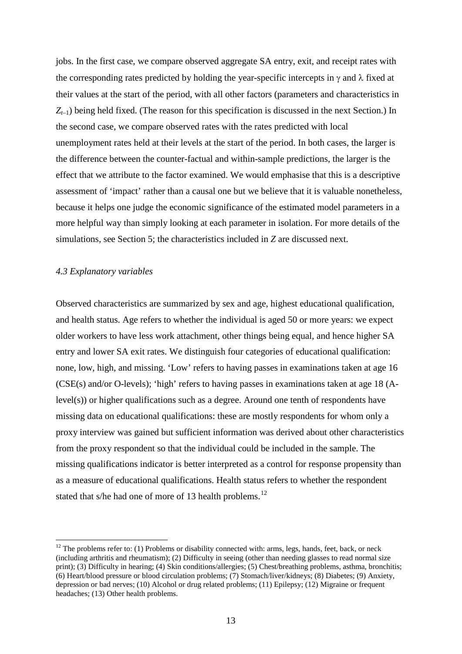jobs. In the first case, we compare observed aggregate SA entry, exit, and receipt rates with the corresponding rates predicted by holding the year-specific intercepts in  $\gamma$  and  $\lambda$  fixed at their values at the start of the period, with all other factors (parameters and characteristics in *Zt–*1) being held fixed. (The reason for this specification is discussed in the next Section.) In the second case, we compare observed rates with the rates predicted with local unemployment rates held at their levels at the start of the period. In both cases, the larger is the difference between the counter-factual and within-sample predictions, the larger is the effect that we attribute to the factor examined. We would emphasise that this is a descriptive assessment of 'impact' rather than a causal one but we believe that it is valuable nonetheless, because it helps one judge the economic significance of the estimated model parameters in a more helpful way than simply looking at each parameter in isolation. For more details of the simulations, see Section 5; the characteristics included in *Z* are discussed next.

#### *4.3 Explanatory variables*

Observed characteristics are summarized by sex and age, highest educational qualification, and health status. Age refers to whether the individual is aged 50 or more years: we expect older workers to have less work attachment, other things being equal, and hence higher SA entry and lower SA exit rates. We distinguish four categories of educational qualification: none, low, high, and missing. 'Low' refers to having passes in examinations taken at age 16 (CSE(s) and/or O-levels); 'high' refers to having passes in examinations taken at age 18 (Alevel(s)) or higher qualifications such as a degree. Around one tenth of respondents have missing data on educational qualifications: these are mostly respondents for whom only a proxy interview was gained but sufficient information was derived about other characteristics from the proxy respondent so that the individual could be included in the sample. The missing qualifications indicator is better interpreted as a control for response propensity than as a measure of educational qualifications. Health status refers to whether the respondent stated that s/he had one of more of 13 health problems.<sup>[12](#page-13-0)</sup>

<span id="page-13-0"></span> $12$  The problems refer to: (1) Problems or disability connected with: arms, legs, hands, feet, back, or neck (including arthritis and rheumatism); (2) Difficulty in seeing (other than needing glasses to read normal size print); (3) Difficulty in hearing; (4) Skin conditions/allergies; (5) Chest/breathing problems, asthma, bronchitis; (6) Heart/blood pressure or blood circulation problems; (7) Stomach/liver/kidneys; (8) Diabetes; (9) Anxiety, depression or bad nerves; (10) Alcohol or drug related problems; (11) Epilepsy; (12) Migraine or frequent headaches; (13) Other health problems.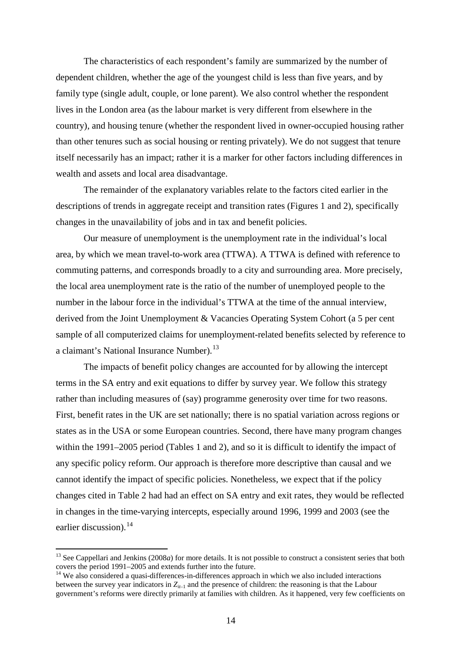The characteristics of each respondent's family are summarized by the number of dependent children, whether the age of the youngest child is less than five years, and by family type (single adult, couple, or lone parent). We also control whether the respondent lives in the London area (as the labour market is very different from elsewhere in the country), and housing tenure (whether the respondent lived in owner-occupied housing rather than other tenures such as social housing or renting privately). We do not suggest that tenure itself necessarily has an impact; rather it is a marker for other factors including differences in wealth and assets and local area disadvantage.

The remainder of the explanatory variables relate to the factors cited earlier in the descriptions of trends in aggregate receipt and transition rates (Figures 1 and 2), specifically changes in the unavailability of jobs and in tax and benefit policies.

Our measure of unemployment is the unemployment rate in the individual's local area, by which we mean travel-to-work area (TTWA). A TTWA is defined with reference to commuting patterns, and corresponds broadly to a city and surrounding area. More precisely, the local area unemployment rate is the ratio of the number of unemployed people to the number in the labour force in the individual's TTWA at the time of the annual interview, derived from the Joint Unemployment & Vacancies Operating System Cohort (a 5 per cent sample of all computerized claims for unemployment-related benefits selected by reference to a claimant's National Insurance Number).<sup>[13](#page-14-0)</sup>

The impacts of benefit policy changes are accounted for by allowing the intercept terms in the SA entry and exit equations to differ by survey year. We follow this strategy rather than including measures of (say) programme generosity over time for two reasons. First, benefit rates in the UK are set nationally; there is no spatial variation across regions or states as in the USA or some European countries. Second, there have many program changes within the 1991–2005 period (Tables 1 and 2), and so it is difficult to identify the impact of any specific policy reform. Our approach is therefore more descriptive than causal and we cannot identify the impact of specific policies. Nonetheless, we expect that if the policy changes cited in Table 2 had had an effect on SA entry and exit rates, they would be reflected in changes in the time-varying intercepts, especially around 1996, 1999 and 2003 (see the earlier discussion).<sup>[14](#page-14-1)</sup>

<span id="page-14-0"></span><sup>&</sup>lt;sup>13</sup> See Cappellari and Jenkins (2008*a*) for more details. It is not possible to construct a consistent series that both covers the period 1991–2005 and extends further into the future.

<span id="page-14-1"></span> $14$  We also considered a quasi-differences-in-differences approach in which we also included interactions between the survey year indicators in  $Z_{it-1}$  and the presence of children: the reasoning is that the Labour government's reforms were directly primarily at families with children. As it happened, very few coefficients on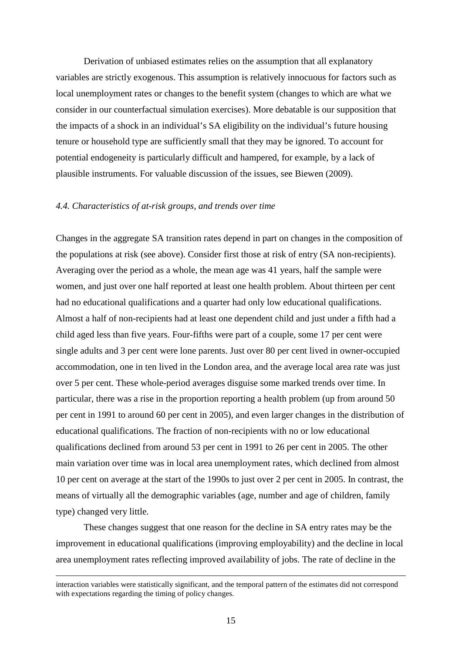Derivation of unbiased estimates relies on the assumption that all explanatory variables are strictly exogenous. This assumption is relatively innocuous for factors such as local unemployment rates or changes to the benefit system (changes to which are what we consider in our counterfactual simulation exercises). More debatable is our supposition that the impacts of a shock in an individual's SA eligibility on the individual's future housing tenure or household type are sufficiently small that they may be ignored. To account for potential endogeneity is particularly difficult and hampered, for example, by a lack of plausible instruments. For valuable discussion of the issues, see Biewen (2009).

#### *4.4. Characteristics of at-risk groups, and trends over time*

Changes in the aggregate SA transition rates depend in part on changes in the composition of the populations at risk (see above). Consider first those at risk of entry (SA non-recipients). Averaging over the period as a whole, the mean age was 41 years, half the sample were women, and just over one half reported at least one health problem. About thirteen per cent had no educational qualifications and a quarter had only low educational qualifications. Almost a half of non-recipients had at least one dependent child and just under a fifth had a child aged less than five years. Four-fifths were part of a couple, some 17 per cent were single adults and 3 per cent were lone parents. Just over 80 per cent lived in owner-occupied accommodation, one in ten lived in the London area, and the average local area rate was just over 5 per cent. These whole-period averages disguise some marked trends over time. In particular, there was a rise in the proportion reporting a health problem (up from around 50 per cent in 1991 to around 60 per cent in 2005), and even larger changes in the distribution of educational qualifications. The fraction of non-recipients with no or low educational qualifications declined from around 53 per cent in 1991 to 26 per cent in 2005. The other main variation over time was in local area unemployment rates, which declined from almost 10 per cent on average at the start of the 1990s to just over 2 per cent in 2005. In contrast, the means of virtually all the demographic variables (age, number and age of children, family type) changed very little.

These changes suggest that one reason for the decline in SA entry rates may be the improvement in educational qualifications (improving employability) and the decline in local area unemployment rates reflecting improved availability of jobs. The rate of decline in the

-

interaction variables were statistically significant, and the temporal pattern of the estimates did not correspond with expectations regarding the timing of policy changes.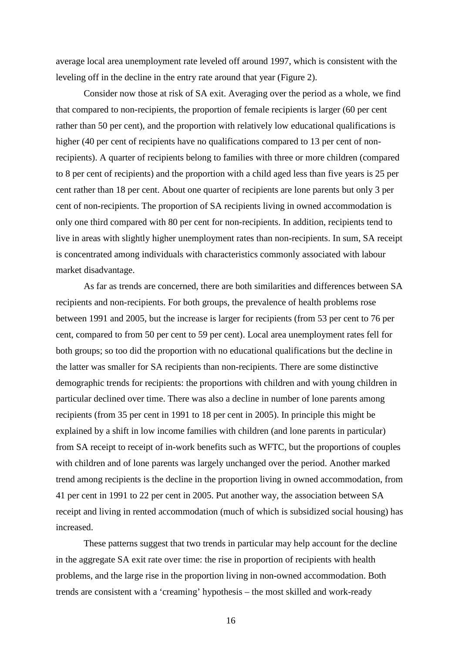average local area unemployment rate leveled off around 1997, which is consistent with the leveling off in the decline in the entry rate around that year (Figure 2).

Consider now those at risk of SA exit. Averaging over the period as a whole, we find that compared to non-recipients, the proportion of female recipients is larger (60 per cent rather than 50 per cent), and the proportion with relatively low educational qualifications is higher (40 per cent of recipients have no qualifications compared to 13 per cent of nonrecipients). A quarter of recipients belong to families with three or more children (compared to 8 per cent of recipients) and the proportion with a child aged less than five years is 25 per cent rather than 18 per cent. About one quarter of recipients are lone parents but only 3 per cent of non-recipients. The proportion of SA recipients living in owned accommodation is only one third compared with 80 per cent for non-recipients. In addition, recipients tend to live in areas with slightly higher unemployment rates than non-recipients. In sum, SA receipt is concentrated among individuals with characteristics commonly associated with labour market disadvantage.

As far as trends are concerned, there are both similarities and differences between SA recipients and non-recipients. For both groups, the prevalence of health problems rose between 1991 and 2005, but the increase is larger for recipients (from 53 per cent to 76 per cent, compared to from 50 per cent to 59 per cent). Local area unemployment rates fell for both groups; so too did the proportion with no educational qualifications but the decline in the latter was smaller for SA recipients than non-recipients. There are some distinctive demographic trends for recipients: the proportions with children and with young children in particular declined over time. There was also a decline in number of lone parents among recipients (from 35 per cent in 1991 to 18 per cent in 2005). In principle this might be explained by a shift in low income families with children (and lone parents in particular) from SA receipt to receipt of in-work benefits such as WFTC, but the proportions of couples with children and of lone parents was largely unchanged over the period. Another marked trend among recipients is the decline in the proportion living in owned accommodation, from 41 per cent in 1991 to 22 per cent in 2005. Put another way, the association between SA receipt and living in rented accommodation (much of which is subsidized social housing) has increased.

These patterns suggest that two trends in particular may help account for the decline in the aggregate SA exit rate over time: the rise in proportion of recipients with health problems, and the large rise in the proportion living in non-owned accommodation. Both trends are consistent with a 'creaming' hypothesis – the most skilled and work-ready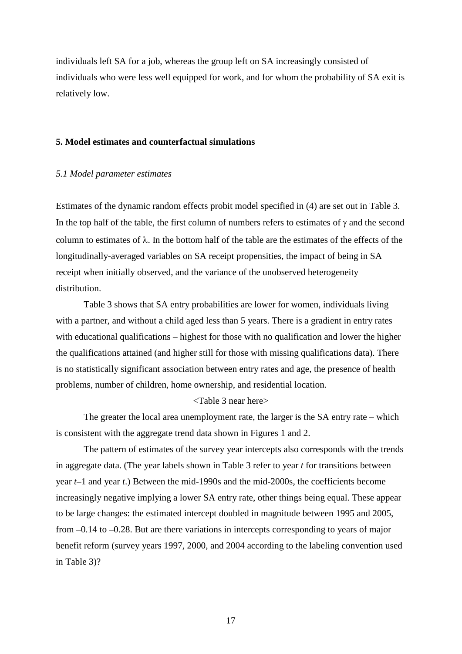individuals left SA for a job, whereas the group left on SA increasingly consisted of individuals who were less well equipped for work, and for whom the probability of SA exit is relatively low.

#### **5. Model estimates and counterfactual simulations**

#### *5.1 Model parameter estimates*

Estimates of the dynamic random effects probit model specified in (4) are set out in Table 3. In the top half of the table, the first column of numbers refers to estimates of  $\gamma$  and the second column to estimates of  $\lambda$ . In the bottom half of the table are the estimates of the effects of the longitudinally-averaged variables on SA receipt propensities, the impact of being in SA receipt when initially observed, and the variance of the unobserved heterogeneity distribution.

Table 3 shows that SA entry probabilities are lower for women, individuals living with a partner, and without a child aged less than 5 years. There is a gradient in entry rates with educational qualifications – highest for those with no qualification and lower the higher the qualifications attained (and higher still for those with missing qualifications data). There is no statistically significant association between entry rates and age, the presence of health problems, number of children, home ownership, and residential location.

## <Table 3 near here>

The greater the local area unemployment rate, the larger is the SA entry rate – which is consistent with the aggregate trend data shown in Figures 1 and 2.

The pattern of estimates of the survey year intercepts also corresponds with the trends in aggregate data. (The year labels shown in Table 3 refer to year *t* for transitions between year *t*–1 and year *t*.) Between the mid-1990s and the mid-2000s, the coefficients become increasingly negative implying a lower SA entry rate, other things being equal. These appear to be large changes: the estimated intercept doubled in magnitude between 1995 and 2005, from –0.14 to –0.28. But are there variations in intercepts corresponding to years of major benefit reform (survey years 1997, 2000, and 2004 according to the labeling convention used in Table 3)?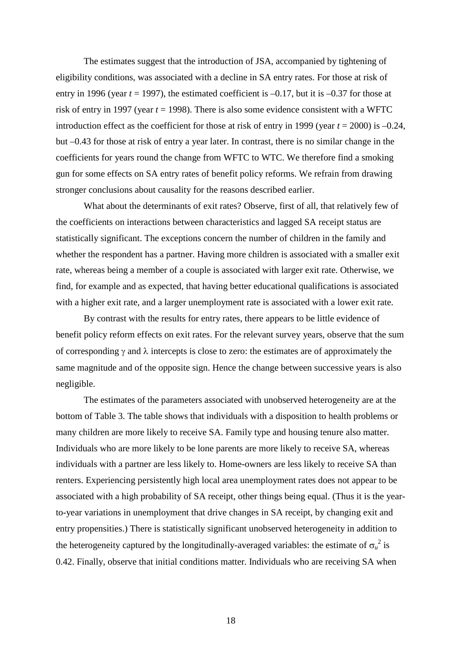The estimates suggest that the introduction of JSA, accompanied by tightening of eligibility conditions, was associated with a decline in SA entry rates. For those at risk of entry in 1996 (year  $t = 1997$ ), the estimated coefficient is  $-0.17$ , but it is  $-0.37$  for those at risk of entry in 1997 (year *t* = 1998). There is also some evidence consistent with a WFTC introduction effect as the coefficient for those at risk of entry in 1999 (year *t* = 2000) is –0.24, but –0.43 for those at risk of entry a year later. In contrast, there is no similar change in the coefficients for years round the change from WFTC to WTC. We therefore find a smoking gun for some effects on SA entry rates of benefit policy reforms. We refrain from drawing stronger conclusions about causality for the reasons described earlier.

What about the determinants of exit rates? Observe, first of all, that relatively few of the coefficients on interactions between characteristics and lagged SA receipt status are statistically significant. The exceptions concern the number of children in the family and whether the respondent has a partner. Having more children is associated with a smaller exit rate, whereas being a member of a couple is associated with larger exit rate. Otherwise, we find, for example and as expected, that having better educational qualifications is associated with a higher exit rate, and a larger unemployment rate is associated with a lower exit rate.

By contrast with the results for entry rates, there appears to be little evidence of benefit policy reform effects on exit rates. For the relevant survey years, observe that the sum of corresponding  $\gamma$  and  $\lambda$  intercepts is close to zero: the estimates are of approximately the same magnitude and of the opposite sign. Hence the change between successive years is also negligible.

The estimates of the parameters associated with unobserved heterogeneity are at the bottom of Table 3. The table shows that individuals with a disposition to health problems or many children are more likely to receive SA. Family type and housing tenure also matter. Individuals who are more likely to be lone parents are more likely to receive SA, whereas individuals with a partner are less likely to. Home-owners are less likely to receive SA than renters. Experiencing persistently high local area unemployment rates does not appear to be associated with a high probability of SA receipt, other things being equal. (Thus it is the yearto-year variations in unemployment that drive changes in SA receipt, by changing exit and entry propensities.) There is statistically significant unobserved heterogeneity in addition to the heterogeneity captured by the longitudinally-averaged variables: the estimate of  $\sigma_u^2$  is 0.42. Finally, observe that initial conditions matter. Individuals who are receiving SA when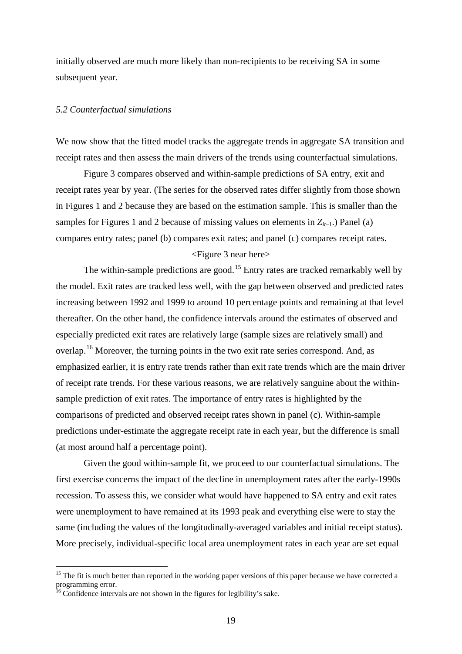initially observed are much more likely than non-recipients to be receiving SA in some subsequent year.

#### *5.2 Counterfactual simulations*

We now show that the fitted model tracks the aggregate trends in aggregate SA transition and receipt rates and then assess the main drivers of the trends using counterfactual simulations.

Figure 3 compares observed and within-sample predictions of SA entry, exit and receipt rates year by year. (The series for the observed rates differ slightly from those shown in Figures 1 and 2 because they are based on the estimation sample. This is smaller than the samples for Figures 1 and 2 because of missing values on elements in  $Z_{it-1}$ .) Panel (a) compares entry rates; panel (b) compares exit rates; and panel (c) compares receipt rates.

## <Figure 3 near here>

The within-sample predictions are good.<sup>[15](#page-19-0)</sup> Entry rates are tracked remarkably well by the model. Exit rates are tracked less well, with the gap between observed and predicted rates increasing between 1992 and 1999 to around 10 percentage points and remaining at that level thereafter. On the other hand, the confidence intervals around the estimates of observed and especially predicted exit rates are relatively large (sample sizes are relatively small) and overlap.<sup>[16](#page-19-1)</sup> Moreover, the turning points in the two exit rate series correspond. And, as emphasized earlier, it is entry rate trends rather than exit rate trends which are the main driver of receipt rate trends. For these various reasons, we are relatively sanguine about the withinsample prediction of exit rates. The importance of entry rates is highlighted by the comparisons of predicted and observed receipt rates shown in panel (c). Within-sample predictions under-estimate the aggregate receipt rate in each year, but the difference is small (at most around half a percentage point).

Given the good within-sample fit, we proceed to our counterfactual simulations. The first exercise concerns the impact of the decline in unemployment rates after the early-1990s recession. To assess this, we consider what would have happened to SA entry and exit rates were unemployment to have remained at its 1993 peak and everything else were to stay the same (including the values of the longitudinally-averaged variables and initial receipt status). More precisely, individual-specific local area unemployment rates in each year are set equal

<span id="page-19-0"></span><sup>&</sup>lt;sup>15</sup> The fit is much better than reported in the working paper versions of this paper because we have corrected a programming error.

<span id="page-19-1"></span> $16$  Confidence intervals are not shown in the figures for legibility's sake.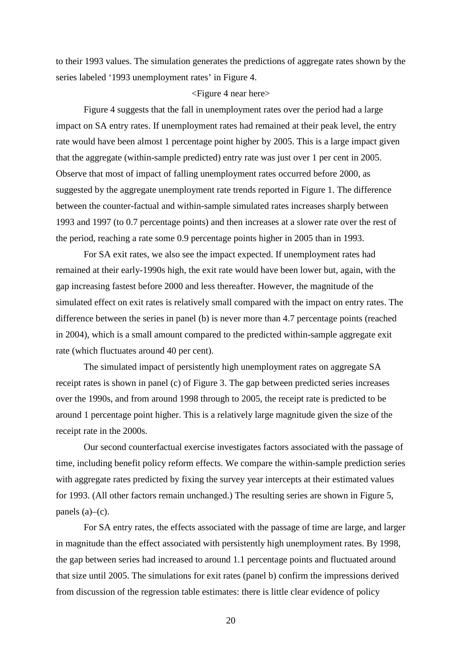to their 1993 values. The simulation generates the predictions of aggregate rates shown by the series labeled '1993 unemployment rates' in Figure 4.

#### <Figure 4 near here>

Figure 4 suggests that the fall in unemployment rates over the period had a large impact on SA entry rates. If unemployment rates had remained at their peak level, the entry rate would have been almost 1 percentage point higher by 2005. This is a large impact given that the aggregate (within-sample predicted) entry rate was just over 1 per cent in 2005. Observe that most of impact of falling unemployment rates occurred before 2000, as suggested by the aggregate unemployment rate trends reported in Figure 1. The difference between the counter-factual and within-sample simulated rates increases sharply between 1993 and 1997 (to 0.7 percentage points) and then increases at a slower rate over the rest of the period, reaching a rate some 0.9 percentage points higher in 2005 than in 1993.

For SA exit rates, we also see the impact expected. If unemployment rates had remained at their early-1990s high, the exit rate would have been lower but, again, with the gap increasing fastest before 2000 and less thereafter. However, the magnitude of the simulated effect on exit rates is relatively small compared with the impact on entry rates. The difference between the series in panel (b) is never more than 4.7 percentage points (reached in 2004), which is a small amount compared to the predicted within-sample aggregate exit rate (which fluctuates around 40 per cent).

The simulated impact of persistently high unemployment rates on aggregate SA receipt rates is shown in panel (c) of Figure 3. The gap between predicted series increases over the 1990s, and from around 1998 through to 2005, the receipt rate is predicted to be around 1 percentage point higher. This is a relatively large magnitude given the size of the receipt rate in the 2000s.

Our second counterfactual exercise investigates factors associated with the passage of time, including benefit policy reform effects. We compare the within-sample prediction series with aggregate rates predicted by fixing the survey year intercepts at their estimated values for 1993. (All other factors remain unchanged.) The resulting series are shown in Figure 5, panels  $(a)$ – $(c)$ .

For SA entry rates, the effects associated with the passage of time are large, and larger in magnitude than the effect associated with persistently high unemployment rates. By 1998, the gap between series had increased to around 1.1 percentage points and fluctuated around that size until 2005. The simulations for exit rates (panel b) confirm the impressions derived from discussion of the regression table estimates: there is little clear evidence of policy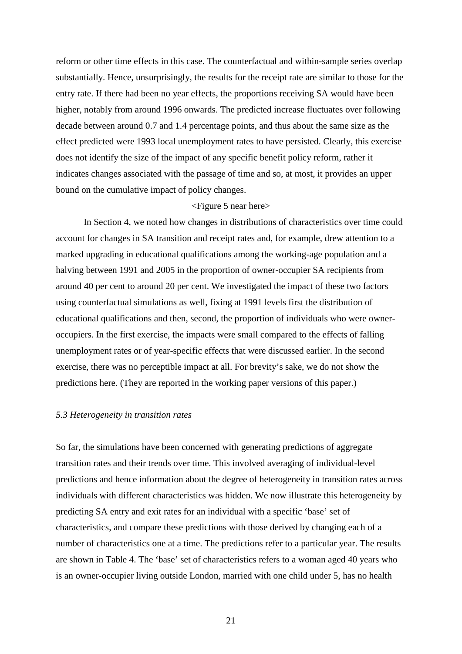reform or other time effects in this case. The counterfactual and within-sample series overlap substantially. Hence, unsurprisingly, the results for the receipt rate are similar to those for the entry rate. If there had been no year effects, the proportions receiving SA would have been higher, notably from around 1996 onwards. The predicted increase fluctuates over following decade between around 0.7 and 1.4 percentage points, and thus about the same size as the effect predicted were 1993 local unemployment rates to have persisted. Clearly, this exercise does not identify the size of the impact of any specific benefit policy reform, rather it indicates changes associated with the passage of time and so, at most, it provides an upper bound on the cumulative impact of policy changes.

#### <Figure 5 near here>

In Section 4, we noted how changes in distributions of characteristics over time could account for changes in SA transition and receipt rates and, for example, drew attention to a marked upgrading in educational qualifications among the working-age population and a halving between 1991 and 2005 in the proportion of owner-occupier SA recipients from around 40 per cent to around 20 per cent. We investigated the impact of these two factors using counterfactual simulations as well, fixing at 1991 levels first the distribution of educational qualifications and then, second, the proportion of individuals who were owneroccupiers. In the first exercise, the impacts were small compared to the effects of falling unemployment rates or of year-specific effects that were discussed earlier. In the second exercise, there was no perceptible impact at all. For brevity's sake, we do not show the predictions here. (They are reported in the working paper versions of this paper.)

#### *5.3 Heterogeneity in transition rates*

So far, the simulations have been concerned with generating predictions of aggregate transition rates and their trends over time. This involved averaging of individual-level predictions and hence information about the degree of heterogeneity in transition rates across individuals with different characteristics was hidden. We now illustrate this heterogeneity by predicting SA entry and exit rates for an individual with a specific 'base' set of characteristics, and compare these predictions with those derived by changing each of a number of characteristics one at a time. The predictions refer to a particular year. The results are shown in Table 4. The 'base' set of characteristics refers to a woman aged 40 years who is an owner-occupier living outside London, married with one child under 5, has no health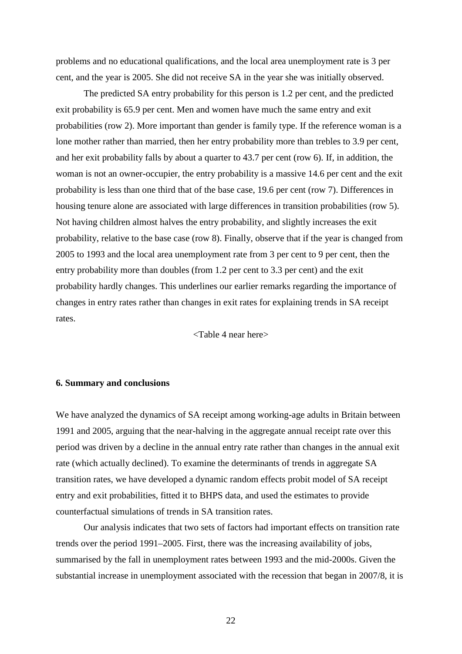problems and no educational qualifications, and the local area unemployment rate is 3 per cent, and the year is 2005. She did not receive SA in the year she was initially observed.

The predicted SA entry probability for this person is 1.2 per cent, and the predicted exit probability is 65.9 per cent. Men and women have much the same entry and exit probabilities (row 2). More important than gender is family type. If the reference woman is a lone mother rather than married, then her entry probability more than trebles to 3.9 per cent, and her exit probability falls by about a quarter to 43.7 per cent (row 6). If, in addition, the woman is not an owner-occupier, the entry probability is a massive 14.6 per cent and the exit probability is less than one third that of the base case, 19.6 per cent (row 7). Differences in housing tenure alone are associated with large differences in transition probabilities (row 5). Not having children almost halves the entry probability, and slightly increases the exit probability, relative to the base case (row 8). Finally, observe that if the year is changed from 2005 to 1993 and the local area unemployment rate from 3 per cent to 9 per cent, then the entry probability more than doubles (from 1.2 per cent to 3.3 per cent) and the exit probability hardly changes. This underlines our earlier remarks regarding the importance of changes in entry rates rather than changes in exit rates for explaining trends in SA receipt rates.

<Table 4 near here>

## **6. Summary and conclusions**

We have analyzed the dynamics of SA receipt among working-age adults in Britain between 1991 and 2005, arguing that the near-halving in the aggregate annual receipt rate over this period was driven by a decline in the annual entry rate rather than changes in the annual exit rate (which actually declined). To examine the determinants of trends in aggregate SA transition rates, we have developed a dynamic random effects probit model of SA receipt entry and exit probabilities, fitted it to BHPS data, and used the estimates to provide counterfactual simulations of trends in SA transition rates.

Our analysis indicates that two sets of factors had important effects on transition rate trends over the period 1991–2005. First, there was the increasing availability of jobs, summarised by the fall in unemployment rates between 1993 and the mid-2000s. Given the substantial increase in unemployment associated with the recession that began in 2007/8, it is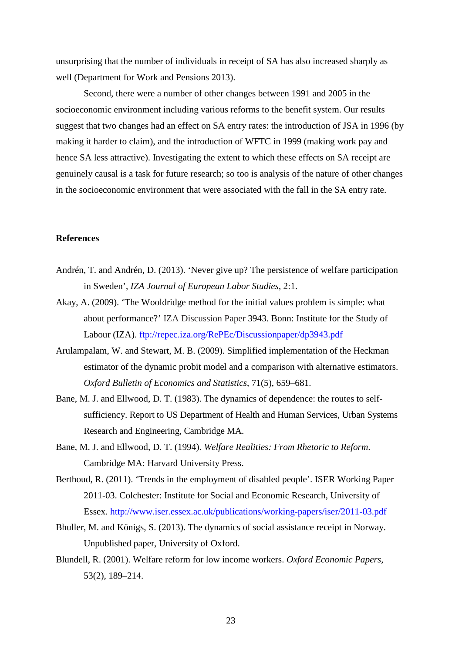unsurprising that the number of individuals in receipt of SA has also increased sharply as well (Department for Work and Pensions 2013).

Second, there were a number of other changes between 1991 and 2005 in the socioeconomic environment including various reforms to the benefit system. Our results suggest that two changes had an effect on SA entry rates: the introduction of JSA in 1996 (by making it harder to claim), and the introduction of WFTC in 1999 (making work pay and hence SA less attractive). Investigating the extent to which these effects on SA receipt are genuinely causal is a task for future research; so too is analysis of the nature of other changes in the socioeconomic environment that were associated with the fall in the SA entry rate.

## **References**

- Andrén, T. and Andrén, D. (2013). 'Never give up? The persistence of welfare participation in Sweden', *IZA Journal of European Labor Studies*, 2:1.
- Akay, A. (2009). 'The Wooldridge method for the initial values problem is simple: what about performance?' IZA Discussion Paper 3943. Bonn: Institute for the Study of Labour (IZA). <ftp://repec.iza.org/RePEc/Discussionpaper/dp3943.pdf>
- Arulampalam, W. and Stewart, M. B. (2009). Simplified implementation of the Heckman estimator of the dynamic probit model and a comparison with alternative estimators. *Oxford Bulletin of Economics and Statistics*, 71(5), 659–681.
- Bane, M. J. and Ellwood, D. T. (1983). The dynamics of dependence: the routes to selfsufficiency. Report to US Department of Health and Human Services, Urban Systems Research and Engineering, Cambridge MA.
- Bane, M. J. and Ellwood, D. T. (1994). *Welfare Realities: From Rhetoric to Reform*. Cambridge MA: Harvard University Press.
- Berthoud, R. (2011). 'Trends in the employment of disabled people'. ISER Working Paper 2011-03. Colchester: Institute for Social and Economic Research, University of Essex.<http://www.iser.essex.ac.uk/publications/working-papers/iser/2011-03.pdf>
- Bhuller, M. and Königs, S. (2013). The dynamics of social assistance receipt in Norway. Unpublished paper, University of Oxford.
- Blundell, R. (2001). Welfare reform for low income workers. *Oxford Economic Papers*, 53(2), 189–214.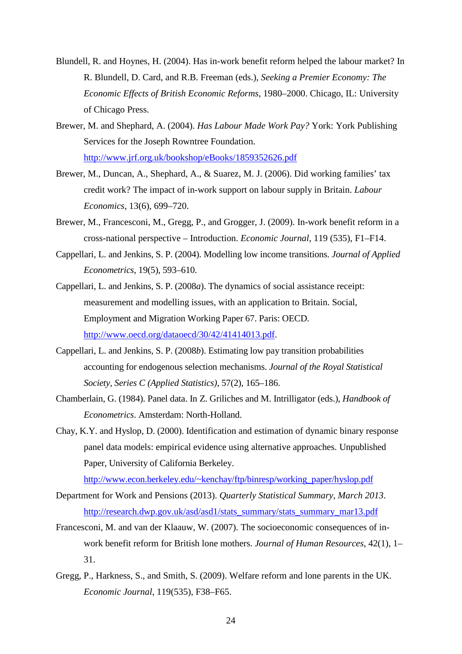- Blundell, R. and Hoynes, H. (2004). Has in-work benefit reform helped the labour market? In R. Blundell, D. Card, and R.B. Freeman (eds.), *Seeking a Premier Economy: The Economic Effects of British Economic Reforms*, 1980–2000. Chicago, IL: University of Chicago Press.
- Brewer, M. and Shephard, A. (2004). *Has Labour Made Work Pay?* York: York Publishing Services for the Joseph Rowntree Foundation. <http://www.jrf.org.uk/bookshop/eBooks/1859352626.pdf>
- Brewer, M., Duncan, A., Shephard, A., & Suarez, M. J. (2006). Did working families' tax credit work? The impact of in-work support on labour supply in Britain. *Labour Economics*, 13(6), 699–720.
- Brewer, M., Francesconi, M., Gregg, P., and Grogger, J. (2009). In-work benefit reform in a cross-national perspective – Introduction. *Economic Journal*, 119 (535), F1–F14.
- Cappellari, L. and Jenkins, S. P. (2004). Modelling low income transitions. *Journal of Applied Econometrics*, 19(5), 593–610.
- Cappellari, L. and Jenkins, S. P. (2008*a*). The dynamics of social assistance receipt: measurement and modelling issues, with an application to Britain. Social, Employment and Migration Working Paper 67. Paris: OECD. [http://www.oecd.org/dataoecd/30/42/41414013.pdf.](http://www.oecd.org/dataoecd/30/42/41414013.pdf)
- Cappellari, L. and Jenkins, S. P. (2008*b*). Estimating low pay transition probabilities accounting for endogenous selection mechanisms. *Journal of the Royal Statistical Society, Series C (Applied Statistics)*, 57(2), 165–186.
- Chamberlain, G. (1984). Panel data. In Z. Griliches and M. Intrilligator (eds.), *Handbook of Econometrics*. Amsterdam: North-Holland.
- Chay, K.Y. and Hyslop, D. (2000). Identification and estimation of dynamic binary response panel data models: empirical evidence using alternative approaches. Unpublished Paper, University of California Berkeley.

[http://www.econ.berkeley.edu/~kenchay/ftp/binresp/working\\_paper/hyslop.pdf](http://www.econ.berkeley.edu/~kenchay/ftp/binresp/working_paper/hyslop.pdf)

- Department for Work and Pensions (2013). *Quarterly Statistical Summary, March 2013*. [http://research.dwp.gov.uk/asd/asd1/stats\\_summary/stats\\_summary\\_mar13.pdf](http://research.dwp.gov.uk/asd/asd1/stats_summary/stats_summary_mar13.pdf)
- Francesconi, M. and van der Klaauw, W. (2007). The socioeconomic consequences of inwork benefit reform for British lone mothers. *Journal of Human Resources*, 42(1), 1– 31.
- Gregg, P., Harkness, S., and Smith, S. (2009). Welfare reform and lone parents in the UK. *Economic Journal*, 119(535), F38–F65.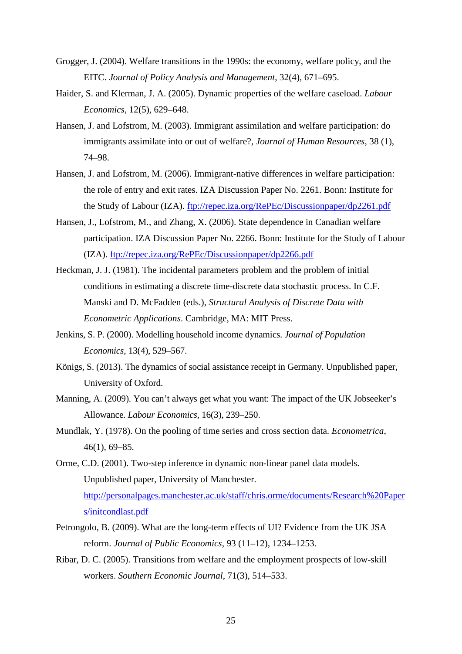- Grogger, J. (2004). Welfare transitions in the 1990s: the economy, welfare policy, and the EITC. *Journal of Policy Analysis and Management*, 32(4), 671–695.
- Haider, S. and Klerman, J. A. (2005). Dynamic properties of the welfare caseload. *Labour Economics*, 12(5), 629–648.
- Hansen, J. and Lofstrom, M. (2003). Immigrant assimilation and welfare participation: do immigrants assimilate into or out of welfare?, *Journal of Human Resources*, 38 (1), 74–98.
- Hansen, J. and Lofstrom, M. (2006). Immigrant-native differences in welfare participation: the role of entry and exit rates. IZA Discussion Paper No. 2261. Bonn: Institute for the Study of Labour (IZA). <ftp://repec.iza.org/RePEc/Discussionpaper/dp2261.pdf>
- Hansen, J., Lofstrom, M., and Zhang, X. (2006). State dependence in Canadian welfare participation. IZA Discussion Paper No. 2266. Bonn: Institute for the Study of Labour (IZA).<ftp://repec.iza.org/RePEc/Discussionpaper/dp2266.pdf>
- Heckman, J. J. (1981). The incidental parameters problem and the problem of initial conditions in estimating a discrete time-discrete data stochastic process. In C.F. Manski and D. McFadden (eds.), *Structural Analysis of Discrete Data with Econometric Applications*. Cambridge, MA: MIT Press.
- Jenkins, S. P. (2000). Modelling household income dynamics. *Journal of Population Economics*, 13(4), 529–567.
- Königs, S. (2013). The dynamics of social assistance receipt in Germany. Unpublished paper, University of Oxford.
- Manning, A. (2009). You can't always get what you want: The impact of the UK Jobseeker's Allowance. *Labour Economics*, 16(3), 239–250.
- Mundlak, Y. (1978). On the pooling of time series and cross section data. *Econometrica*, 46(1), 69–85.
- Orme, C.D. (2001). Two-step inference in dynamic non-linear panel data models. Unpublished paper, University of Manchester. [http://personalpages.manchester.ac.uk/staff/chris.orme/documents/Research%20Paper](http://personalpages.manchester.ac.uk/staff/chris.orme/documents/Research%20Papers/initcondlast.pdf) [s/initcondlast.pdf](http://personalpages.manchester.ac.uk/staff/chris.orme/documents/Research%20Papers/initcondlast.pdf)
- Petrongolo, B. (2009). What are the long-term effects of UI? Evidence from the UK JSA reform. *Journal of Public Economics*, 93 (11–12), 1234–1253.
- Ribar, D. C. (2005). Transitions from welfare and the employment prospects of low-skill workers. *Southern Economic Journal*, 71(3), 514–533.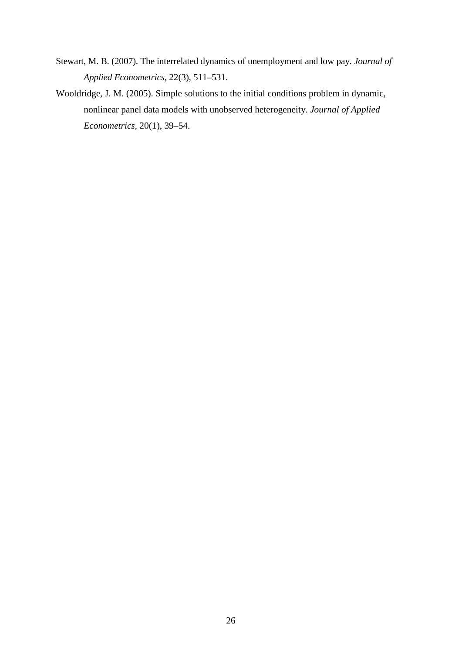- Stewart, M. B. (2007). The interrelated dynamics of unemployment and low pay. *Journal of Applied Econometrics*, 22(3), 511–531.
- Wooldridge, J. M. (2005). Simple solutions to the initial conditions problem in dynamic, nonlinear panel data models with unobserved heterogeneity. *Journal of Applied Econometrics*, 20(1), 39–54.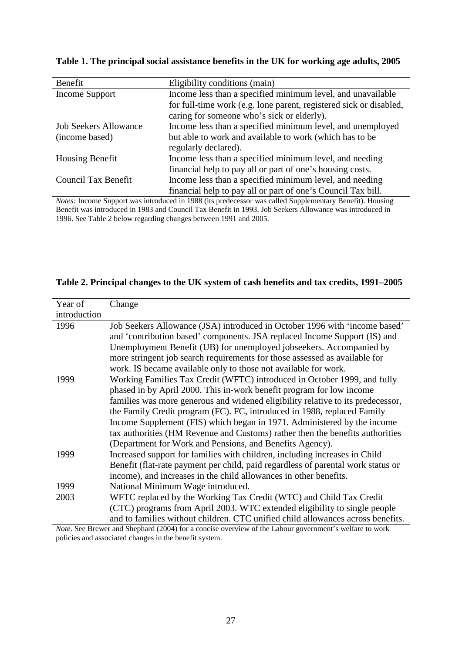| Benefit                      | Eligibility conditions (main)                                      |
|------------------------------|--------------------------------------------------------------------|
| Income Support               | Income less than a specified minimum level, and unavailable        |
|                              | for full-time work (e.g. lone parent, registered sick or disabled, |
|                              | caring for someone who's sick or elderly).                         |
| <b>Job Seekers Allowance</b> | Income less than a specified minimum level, and unemployed         |
| (income based)               | but able to work and available to work (which has to be            |
|                              | regularly declared).                                               |
| <b>Housing Benefit</b>       | Income less than a specified minimum level, and needing            |
|                              | financial help to pay all or part of one's housing costs.          |
| Council Tax Benefit          | Income less than a specified minimum level, and needing            |
|                              | financial help to pay all or part of one's Council Tax bill.       |

## **Table 1. The principal social assistance benefits in the UK for working age adults, 2005**

*Notes:* Income Support was introduced in 1988 (its predecessor was called Supplementary Benefit). Housing Benefit was introduced in 1983 and Council Tax Benefit in 1993. Job Seekers Allowance was introduced in 1996. See Table 2 below regarding changes between 1991 and 2005.

| Year of      | Change                                                                           |
|--------------|----------------------------------------------------------------------------------|
| introduction |                                                                                  |
| 1996         | Job Seekers Allowance (JSA) introduced in October 1996 with 'income based'       |
|              | and 'contribution based' components. JSA replaced Income Support (IS) and        |
|              | Unemployment Benefit (UB) for unemployed jobseekers. Accompanied by              |
|              | more stringent job search requirements for those assessed as available for       |
|              | work. IS became available only to those not available for work.                  |
| 1999         | Working Families Tax Credit (WFTC) introduced in October 1999, and fully         |
|              | phased in by April 2000. This in-work benefit program for low income             |
|              | families was more generous and widened eligibility relative to its predecessor,  |
|              | the Family Credit program (FC). FC, introduced in 1988, replaced Family          |
|              | Income Supplement (FIS) which began in 1971. Administered by the income          |
|              | tax authorities (HM Revenue and Customs) rather then the benefits authorities    |
|              | (Department for Work and Pensions, and Benefits Agency).                         |
| 1999         | Increased support for families with children, including increases in Child       |
|              | Benefit (flat-rate payment per child, paid regardless of parental work status or |
|              | income), and increases in the child allowances in other benefits.                |
| 1999         | National Minimum Wage introduced.                                                |
| 2003         | WFTC replaced by the Working Tax Credit (WTC) and Child Tax Credit               |
|              | (CTC) programs from April 2003. WTC extended eligibility to single people        |
|              | and to families without children. CTC unified child allowances across benefits.  |

## **Table 2. Principal changes to the UK system of cash benefits and tax credits, 1991–2005**

*Note*. See Brewer and Shephard (2004) for a concise overview of the Labour government's welfare to work policies and associated changes in the benefit system.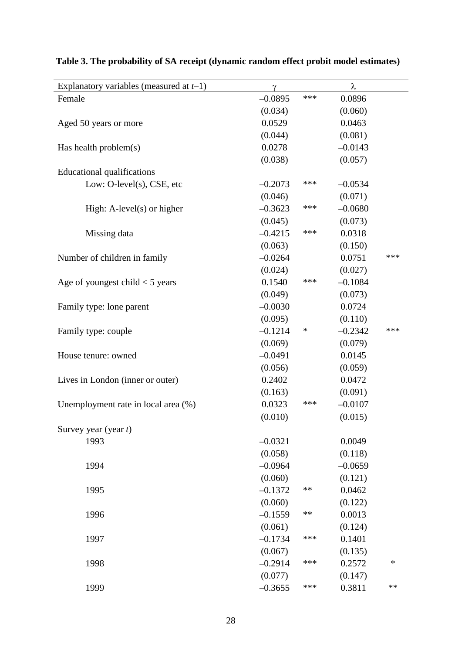| Explanatory variables (measured at $t-1$ ) | γ         |            | λ         |      |
|--------------------------------------------|-----------|------------|-----------|------|
| Female                                     | $-0.0895$ | ***        | 0.0896    |      |
|                                            | (0.034)   |            | (0.060)   |      |
| Aged 50 years or more                      | 0.0529    |            | 0.0463    |      |
|                                            | (0.044)   |            | (0.081)   |      |
| Has health problem $(s)$                   | 0.0278    |            | $-0.0143$ |      |
|                                            | (0.038)   |            | (0.057)   |      |
| <b>Educational qualifications</b>          |           |            |           |      |
| Low: O-level(s), CSE, etc                  | $-0.2073$ | ***        | $-0.0534$ |      |
|                                            | (0.046)   |            | (0.071)   |      |
| High: $A$ -level(s) or higher              | $-0.3623$ | ***        | $-0.0680$ |      |
|                                            | (0.045)   |            | (0.073)   |      |
| Missing data                               | $-0.4215$ | ***        | 0.0318    |      |
|                                            | (0.063)   |            | (0.150)   |      |
| Number of children in family               | $-0.0264$ |            | 0.0751    | ***  |
|                                            | (0.024)   |            | (0.027)   |      |
| Age of youngest child $<$ 5 years          | 0.1540    | ***        | $-0.1084$ |      |
|                                            | (0.049)   |            | (0.073)   |      |
| Family type: lone parent                   | $-0.0030$ |            | 0.0724    |      |
|                                            | (0.095)   |            | (0.110)   |      |
| Family type: couple                        | $-0.1214$ | $\ast$     | $-0.2342$ | ***  |
|                                            | (0.069)   |            | (0.079)   |      |
| House tenure: owned                        | $-0.0491$ |            | 0.0145    |      |
|                                            | (0.056)   |            | (0.059)   |      |
| Lives in London (inner or outer)           | 0.2402    |            | 0.0472    |      |
|                                            | (0.163)   |            | (0.091)   |      |
| Unemployment rate in local area (%)        | 0.0323    | ***        | $-0.0107$ |      |
|                                            | (0.010)   |            | (0.015)   |      |
| Survey year (year $t$ )                    |           |            |           |      |
| 1993                                       | $-0.0321$ |            | 0.0049    |      |
|                                            | (0.058)   |            | (0.118)   |      |
| 1994                                       | $-0.0964$ |            | $-0.0659$ |      |
|                                            | (0.060)   |            | (0.121)   |      |
| 1995                                       | $-0.1372$ | $\ast\ast$ | 0.0462    |      |
|                                            | (0.060)   |            | (0.122)   |      |
| 1996                                       | $-0.1559$ | $**$       | 0.0013    |      |
|                                            | (0.061)   |            | (0.124)   |      |
| 1997                                       | $-0.1734$ | ***        | 0.1401    |      |
|                                            | (0.067)   |            | (0.135)   |      |
| 1998                                       | $-0.2914$ | ***        | 0.2572    | ∗    |
|                                            | (0.077)   |            | (0.147)   |      |
| 1999                                       | $-0.3655$ | ***        | 0.3811    | $**$ |

# **Table 3. The probability of SA receipt (dynamic random effect probit model estimates)**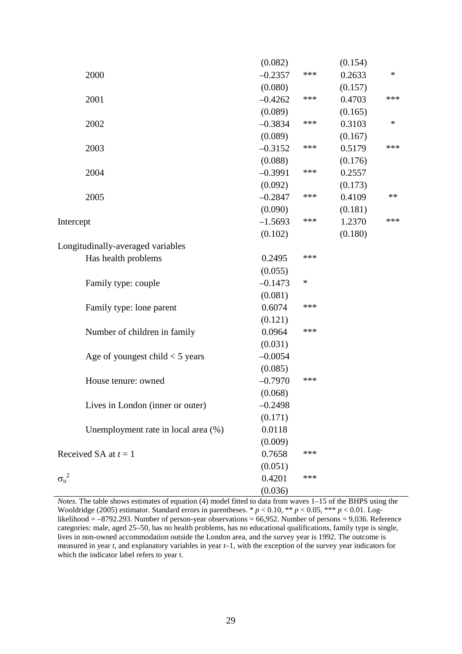|                                     | (0.082)   |     | (0.154) |        |
|-------------------------------------|-----------|-----|---------|--------|
| 2000                                | $-0.2357$ | *** | 0.2633  | ∗      |
|                                     | (0.080)   |     | (0.157) |        |
| 2001                                | $-0.4262$ | *** | 0.4703  | ***    |
|                                     | (0.089)   |     | (0.165) |        |
| 2002                                | $-0.3834$ | *** | 0.3103  | $\ast$ |
|                                     | (0.089)   |     | (0.167) |        |
| 2003                                | $-0.3152$ | *** | 0.5179  | ***    |
|                                     | (0.088)   |     | (0.176) |        |
| 2004                                | $-0.3991$ | *** | 0.2557  |        |
|                                     | (0.092)   |     | (0.173) |        |
| 2005                                | $-0.2847$ | *** | 0.4109  | **     |
|                                     | (0.090)   |     | (0.181) |        |
| Intercept                           | $-1.5693$ | *** | 1.2370  | ***    |
|                                     | (0.102)   |     | (0.180) |        |
| Longitudinally-averaged variables   |           |     |         |        |
| Has health problems                 | 0.2495    | *** |         |        |
|                                     | (0.055)   |     |         |        |
| Family type: couple                 | $-0.1473$ | ∗   |         |        |
|                                     | (0.081)   |     |         |        |
| Family type: lone parent            | 0.6074    | *** |         |        |
|                                     | (0.121)   |     |         |        |
| Number of children in family        | 0.0964    | *** |         |        |
|                                     | (0.031)   |     |         |        |
| Age of youngest child $<$ 5 years   | $-0.0054$ |     |         |        |
|                                     | (0.085)   |     |         |        |
| House tenure: owned                 | $-0.7970$ | *** |         |        |
|                                     | (0.068)   |     |         |        |
| Lives in London (inner or outer)    | $-0.2498$ |     |         |        |
|                                     | (0.171)   |     |         |        |
| Unemployment rate in local area (%) | 0.0118    |     |         |        |
|                                     | (0.009)   |     |         |        |
| Received SA at $t = 1$              | 0.7658    | *** |         |        |
|                                     | (0.051)   |     |         |        |
| $\sigma_u^2$                        | 0.4201    | *** |         |        |
|                                     | (0.036)   |     |         |        |

*Notes.* The table shows estimates of equation (4) model fitted to data from waves 1–15 of the BHPS using the Wooldridge (2005) estimator. Standard errors in parentheses. \* *p* < 0.10, \*\* *p* < 0.05, \*\*\* *p* < 0.01. Loglikelihood = –8792.293. Number of person-year observations = 66,952. Number of persons = 9,036. Reference categories: male, aged 25–50, has no health problems, has no educational qualifications, family type is single, lives in non-owned accommodation outside the London area, and the survey year is 1992. The outcome is measured in year *t*, and explanatory variables in year *t*–1, with the exception of the survey year indicators for which the indicator label refers to year *t*.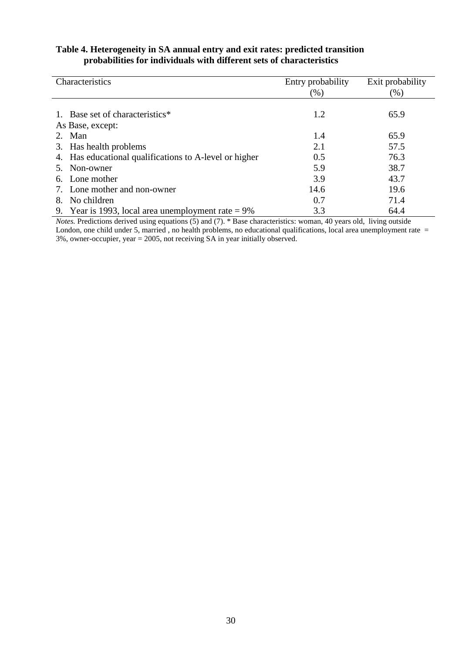# **Table 4. Heterogeneity in SA annual entry and exit rates: predicted transition probabilities for individuals with different sets of characteristics**

| Characteristics                                        | Entry probability | Exit probability |
|--------------------------------------------------------|-------------------|------------------|
|                                                        | $(\%)$            | $(\% )$          |
|                                                        |                   |                  |
| 1. Base set of characteristics*                        | 1.2               | 65.9             |
| As Base, except:                                       |                   |                  |
| 2. Man                                                 | 1.4               | 65.9             |
| 3. Has health problems                                 | 2.1               | 57.5             |
| 4. Has educational qualifications to A-level or higher | 0.5               | 76.3             |
| 5. Non-owner                                           | 5.9               | 38.7             |
| 6. Lone mother                                         | 3.9               | 43.7             |
| 7. Lone mother and non-owner                           | 14.6              | 19.6             |
| No children<br>8.                                      | 0.7               | 71.4             |
| 9. Year is 1993, local area unemployment rate $= 9\%$  | 3.3               | 64.4             |

*Notes.* Predictions derived using equations (5) and (7). \* Base characteristics: woman, 40 years old, living outside London, one child under 5, married, no health problems, no educational qualifications, local area unemployment rate = 3%, owner-occupier, year = 2005, not receiving SA in year initially observed.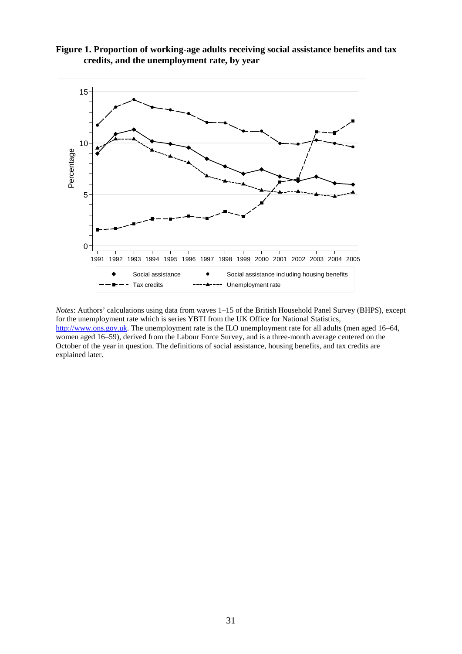**Figure 1. Proportion of working-age adults receiving social assistance benefits and tax credits, and the unemployment rate, by year**



*Notes*: Authors' calculations using data from waves 1–15 of the British Household Panel Survey (BHPS), except for the unemployment rate which is series YBTI from the UK Office for National Statistics, [http://www.ons.gov.uk.](http://www.ons.gov.uk/) The unemployment rate is the ILO unemployment rate for all adults (men aged 16–64, women aged 16–59), derived from the Labour Force Survey, and is a three-month average centered on the October of the year in question. The definitions of social assistance, housing benefits, and tax credits are explained later.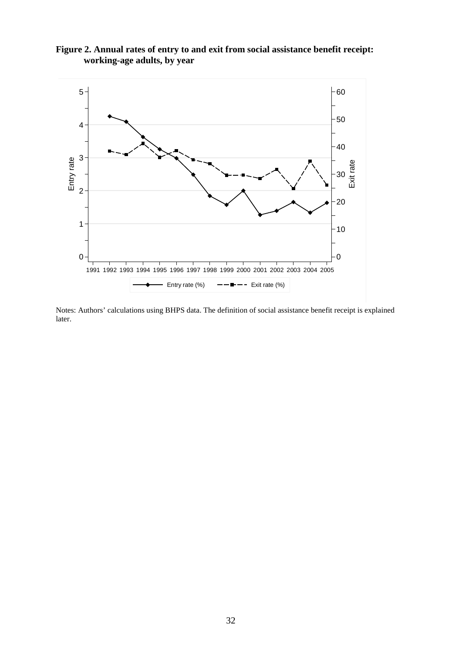



Notes: Authors' calculations using BHPS data. The definition of social assistance benefit receipt is explained later.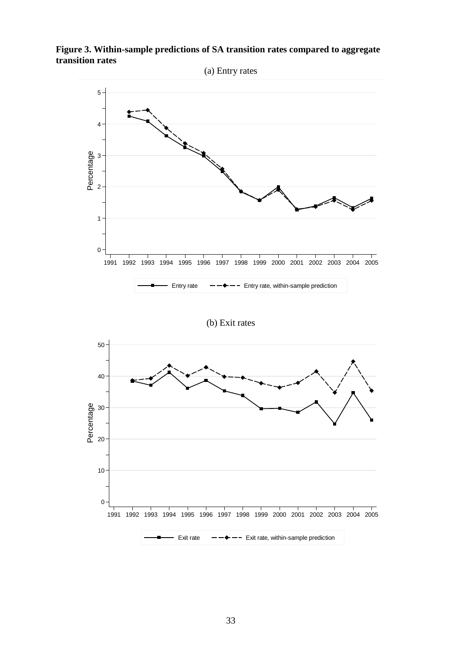**Figure 3. Within-sample predictions of SA transition rates compared to aggregate transition rates**



(b) Exit rates

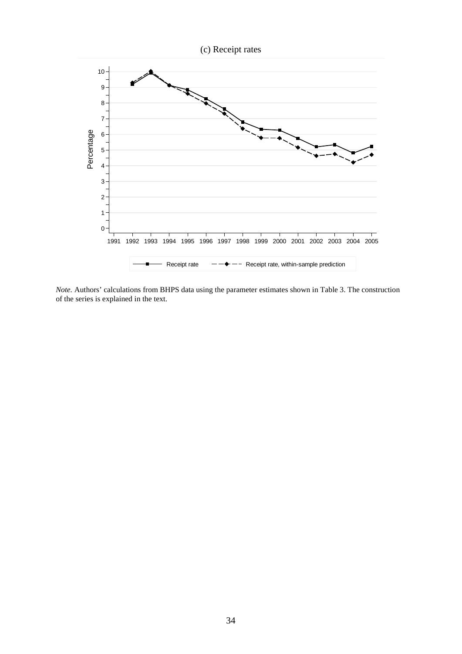



*Note.* Authors' calculations from BHPS data using the parameter estimates shown in Table 3. The construction of the series is explained in the text.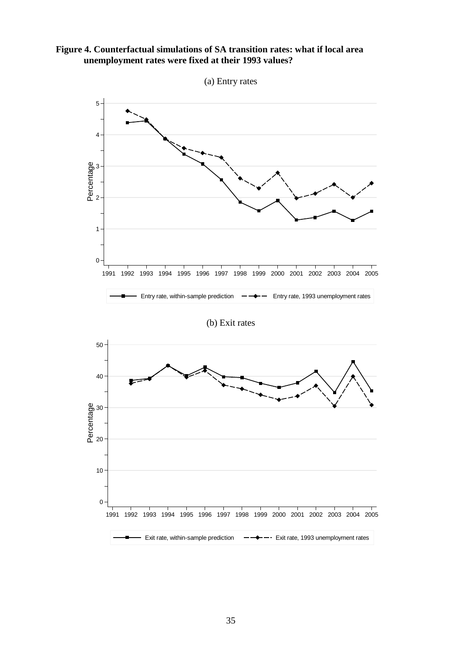**Figure 4. Counterfactual simulations of SA transition rates: what if local area unemployment rates were fixed at their 1993 values?**



(b) Exit rates

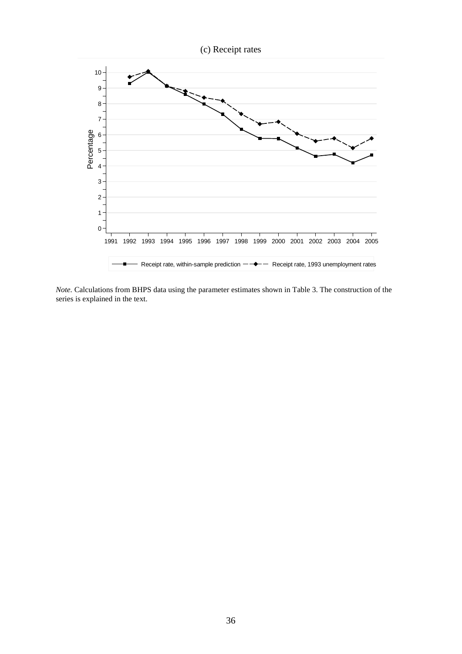(c) Receipt rates



*Note.* Calculations from BHPS data using the parameter estimates shown in Table 3. The construction of the series is explained in the text.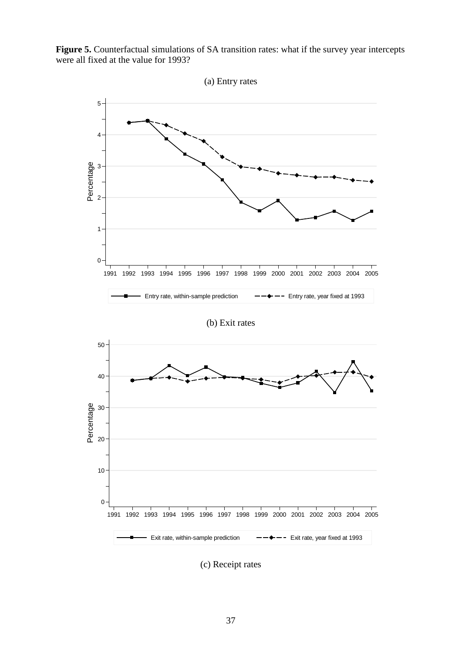Figure 5. Counterfactual simulations of SA transition rates: what if the survey year intercepts were all fixed at the value for 1993?



(c) Receipt rates